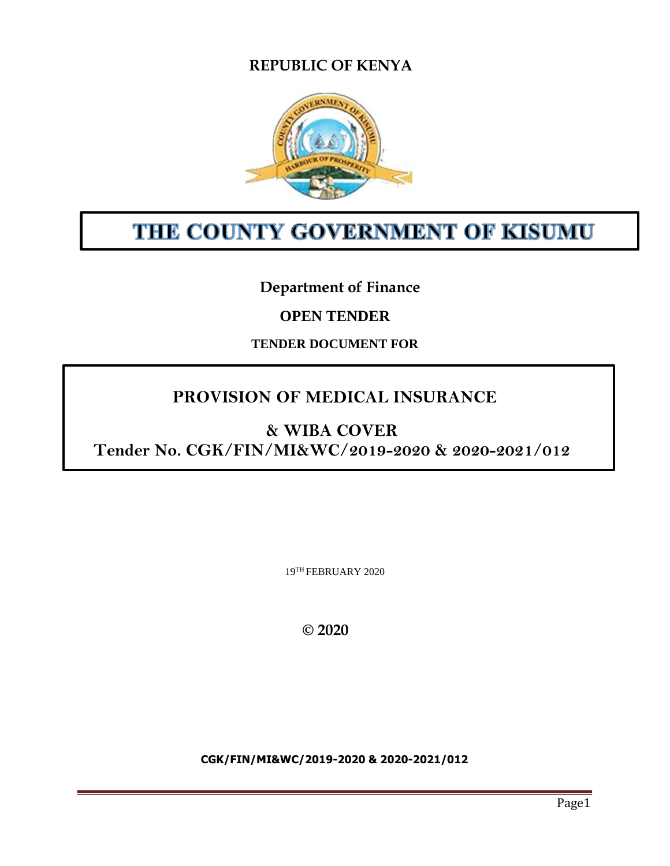# **REPUBLIC OF KENYA**



# THE COUNTY GOVERNMENT OF KISUMU

# **Department of Finance**

# **OPEN TENDER**

# **TENDER DOCUMENT FOR**

# **PROVISION OF MEDICAL INSURANCE**

# **& WIBA COVER**

**Tender No. CGK/FIN/MI&WC/2019-2020 & 2020-2021/012**

19TH FEBRUARY 2020

 **© 2020**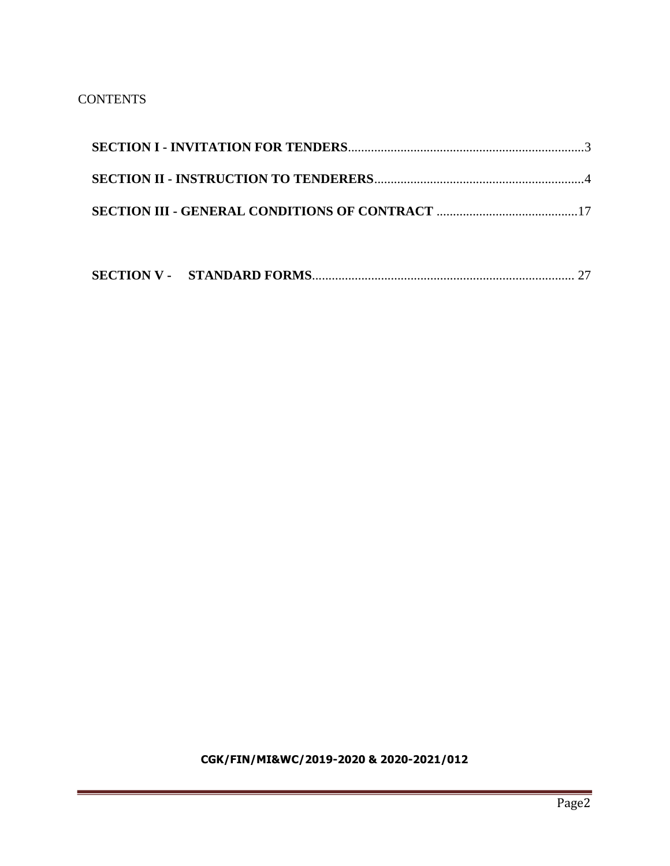# **CONTENTS**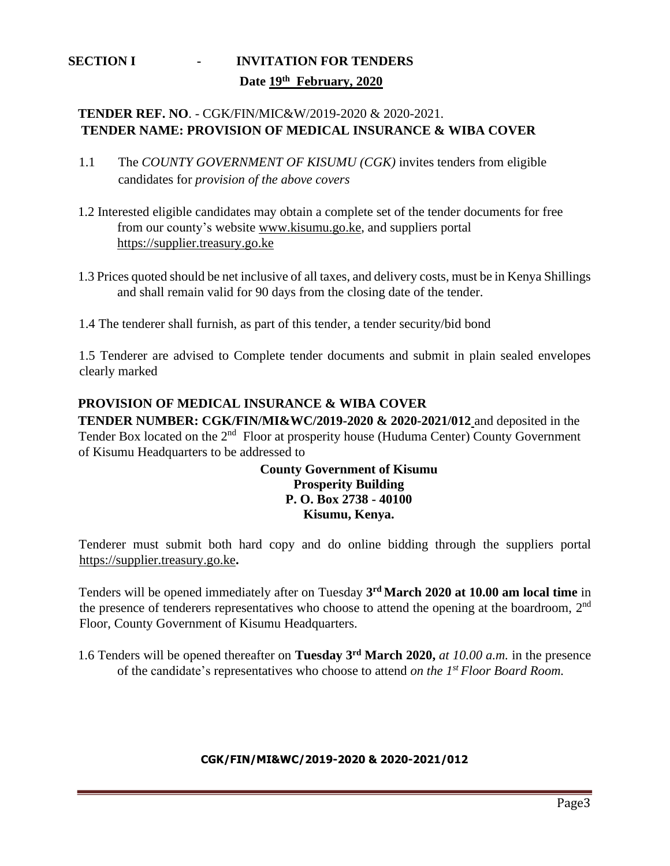# <span id="page-2-0"></span>**SECTION I - INVITATION FOR TENDERS Date 19th February, 2020**

# **TENDER REF. NO**. - CGK/FIN/MIC&W/2019-2020 & 2020-2021. **TENDER NAME: PROVISION OF MEDICAL INSURANCE & WIBA COVER**

- 1.1 The *COUNTY GOVERNMENT OF KISUMU (CGK)* invites tenders from eligible candidates for *provision of the above covers*
- 1.2 Interested eligible candidates may obtain a complete set of the tender documents for free from our county's website [www.kisumu.go.ke,](http://www.kisumu.go.ke/) and suppliers portal [https://supplier.treasury.go.ke](https://supplier.treasury.go.ke/)
- 1.3 Prices quoted should be net inclusive of all taxes, and delivery costs, must be in Kenya Shillings and shall remain valid for 90 days from the closing date of the tender.
- 1.4 The tenderer shall furnish, as part of this tender, a tender security/bid bond

1.5 Tenderer are advised to Complete tender documents and submit in plain sealed envelopes clearly marked

# **PROVISION OF MEDICAL INSURANCE & WIBA COVER**

**TENDER NUMBER: CGK/FIN/MI&WC/2019-2020 & 2020-2021/012** and deposited in the Tender Box located on the 2<sup>nd</sup> Floor at prosperity house (Huduma Center) County Government of Kisumu Headquarters to be addressed to

# **County Government of Kisumu Prosperity Building P. O. Box 2738 - 40100 Kisumu, Kenya.**

Tenderer must submit both hard copy and do online bidding through the suppliers portal [https://supplier.treasury.go.ke](https://supplier.treasury.go.ke/)**.**

Tenders will be opened immediately after on Tuesday **3 rd March 2020 at 10.00 am local time** in the presence of tenderers representatives who choose to attend the opening at the boardroom, 2<sup>nd</sup> Floor, County Government of Kisumu Headquarters.

1.6 Tenders will be opened thereafter on **Tuesday 3 rd March 2020,** *at 10.00 a.m.* in the presence of the candidate's representatives who choose to attend *on the 1 st Floor Board Room.*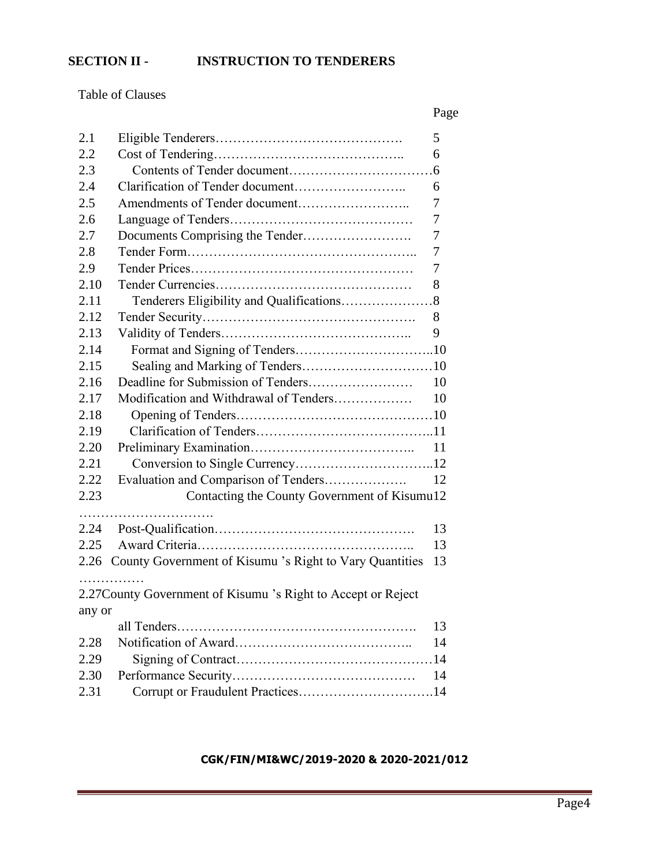# <span id="page-3-0"></span>**SECTION II - INSTRUCTION TO TENDERERS**

Table of Clauses

|        |                                                               | Page |
|--------|---------------------------------------------------------------|------|
| 2.1    |                                                               | 5    |
| 2.2    |                                                               | 6    |
| 2.3    |                                                               |      |
| 2.4    |                                                               | 6    |
| 2.5    |                                                               | 7    |
| 2.6    |                                                               | 7    |
| 2.7    |                                                               | 7    |
| 2.8    |                                                               | 7    |
| 2.9    |                                                               | 7    |
| 2.10   |                                                               | 8    |
| 2.11   |                                                               |      |
| 2.12   |                                                               | 8    |
| 2.13   |                                                               | 9    |
| 2.14   |                                                               |      |
| 2.15   | Sealing and Marking of Tenders10                              |      |
| 2.16   |                                                               | 10   |
| 2.17   | Modification and Withdrawal of Tenders                        | 10   |
| 2.18   |                                                               |      |
| 2.19   |                                                               |      |
| 2.20   |                                                               | 11   |
| 2.21   |                                                               |      |
| 2.22   | Evaluation and Comparison of Tenders                          | 12   |
| 2.23   | Contacting the County Government of Kisumu12                  |      |
|        |                                                               |      |
| 2.24   |                                                               | 13   |
| 2.25   |                                                               | 13   |
| 2.26   | County Government of Kisumu 's Right to Vary Quantities       | 13   |
|        | .                                                             |      |
|        | 2.27 County Government of Kisumu 's Right to Accept or Reject |      |
| any or |                                                               |      |
|        |                                                               | 13   |
| 2.28   |                                                               | 14   |
| 2.29   |                                                               |      |
| 2.30   |                                                               | 14   |
| 2.31   | Corrupt or Fraudulent Practices14                             |      |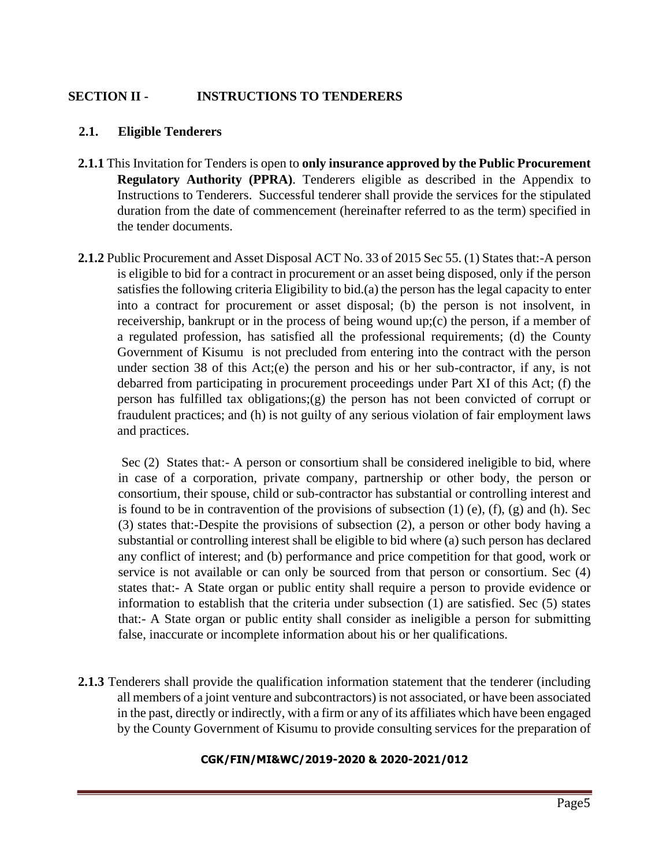# **SECTION II - INSTRUCTIONS TO TENDERERS**

#### **2.1. Eligible Tenderers**

- **2.1.1** This Invitation for Tenders is open to **only insurance approved by the Public Procurement Regulatory Authority (PPRA)**. Tenderers eligible as described in the Appendix to Instructions to Tenderers. Successful tenderer shall provide the services for the stipulated duration from the date of commencement (hereinafter referred to as the term) specified in the tender documents.
- **2.1.2** Public Procurement and Asset Disposal ACT No. 33 of 2015 Sec 55. (1) States that:-A person is eligible to bid for a contract in procurement or an asset being disposed, only if the person satisfies the following criteria Eligibility to bid.(a) the person has the legal capacity to enter into a contract for procurement or asset disposal; (b) the person is not insolvent, in receivership, bankrupt or in the process of being wound up;(c) the person, if a member of a regulated profession, has satisfied all the professional requirements; (d) the County Government of Kisumu is not precluded from entering into the contract with the person under section 38 of this Act;(e) the person and his or her sub-contractor, if any, is not debarred from participating in procurement proceedings under Part XI of this Act; (f) the person has fulfilled tax obligations;(g) the person has not been convicted of corrupt or fraudulent practices; and (h) is not guilty of any serious violation of fair employment laws and practices.

Sec (2) States that:- A person or consortium shall be considered ineligible to bid, where in case of a corporation, private company, partnership or other body, the person or consortium, their spouse, child or sub-contractor has substantial or controlling interest and is found to be in contravention of the provisions of subsection  $(1)$  (e),  $(f)$ ,  $(g)$  and  $(h)$ . Sec (3) states that:-Despite the provisions of subsection (2), a person or other body having a substantial or controlling interest shall be eligible to bid where (a) such person has declared any conflict of interest; and (b) performance and price competition for that good, work or service is not available or can only be sourced from that person or consortium. Sec (4) states that:- A State organ or public entity shall require a person to provide evidence or information to establish that the criteria under subsection (1) are satisfied. Sec (5) states that:- A State organ or public entity shall consider as ineligible a person for submitting false, inaccurate or incomplete information about his or her qualifications.

**2.1.3** Tenderers shall provide the qualification information statement that the tenderer (including all members of a joint venture and subcontractors) is not associated, or have been associated in the past, directly or indirectly, with a firm or any of its affiliates which have been engaged by the County Government of Kisumu to provide consulting services for the preparation of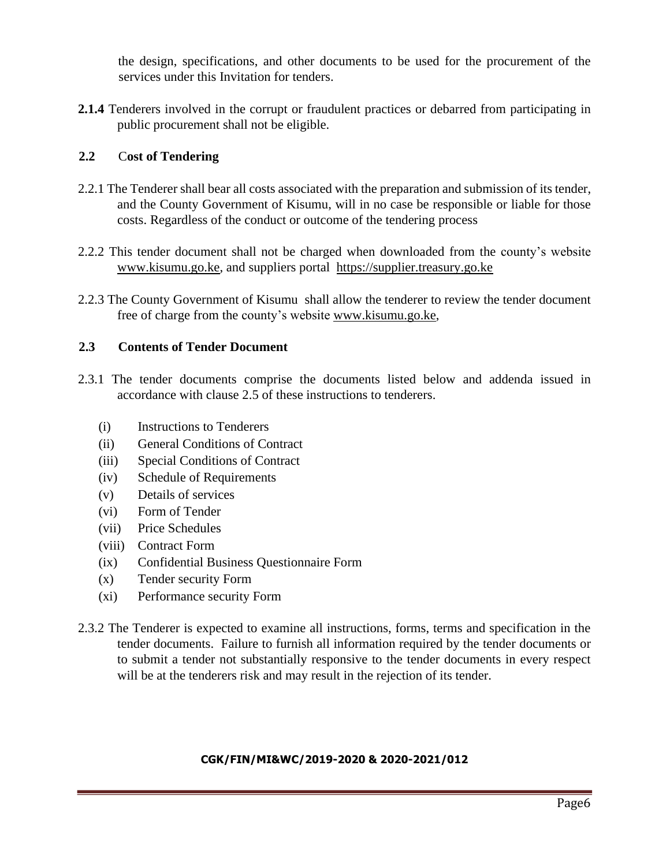the design, specifications, and other documents to be used for the procurement of the services under this Invitation for tenders.

**2.1.4** Tenderers involved in the corrupt or fraudulent practices or debarred from participating in public procurement shall not be eligible.

# **2.2** C**ost of Tendering**

- 2.2.1 The Tenderer shall bear all costs associated with the preparation and submission of its tender, and the County Government of Kisumu, will in no case be responsible or liable for those costs. Regardless of the conduct or outcome of the tendering process
- 2.2.2 This tender document shall not be charged when downloaded from the county's website [www.kisumu.go.ke,](http://www.kisumu.go.ke/) and suppliers portal [https://supplier.treasury.go.ke](https://supplier.treasury.go.ke/)
- 2.2.3 The County Government of Kisumu shall allow the tenderer to review the tender document free of charge from the county's website [www.kisumu.go.ke,](http://www.kisumu.go.ke/)

# **2.3 Contents of Tender Document**

- 2.3.1 The tender documents comprise the documents listed below and addenda issued in accordance with clause 2.5 of these instructions to tenderers.
	- (i) Instructions to Tenderers
	- (ii) General Conditions of Contract
	- (iii) Special Conditions of Contract
	- (iv) Schedule of Requirements
	- (v) Details of services
	- (vi) Form of Tender
	- (vii) Price Schedules
	- (viii) Contract Form
	- (ix) Confidential Business Questionnaire Form
	- (x) Tender security Form
	- (xi) Performance security Form
- 2.3.2 The Tenderer is expected to examine all instructions, forms, terms and specification in the tender documents. Failure to furnish all information required by the tender documents or to submit a tender not substantially responsive to the tender documents in every respect will be at the tenderers risk and may result in the rejection of its tender.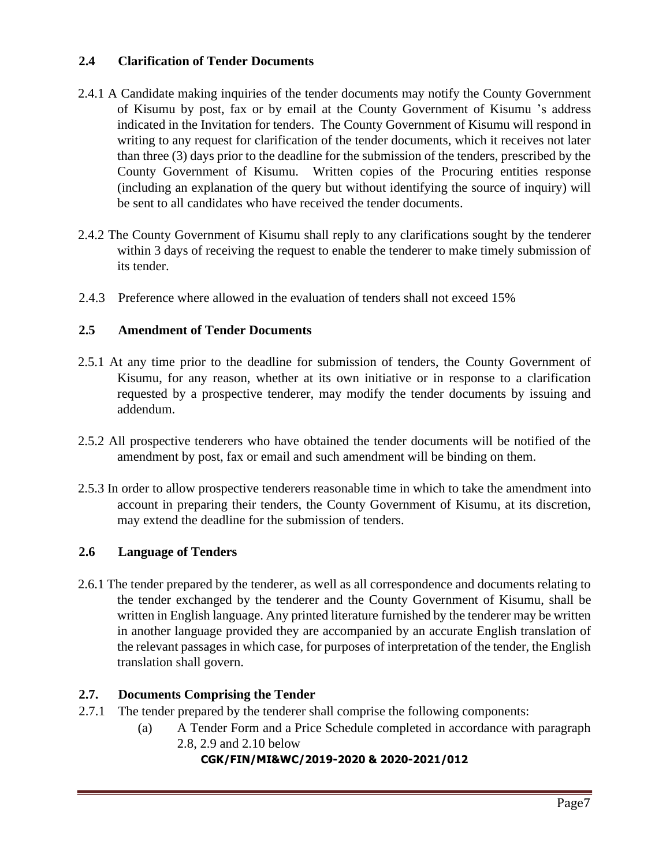# **2.4 Clarification of Tender Documents**

- 2.4.1 A Candidate making inquiries of the tender documents may notify the County Government of Kisumu by post, fax or by email at the County Government of Kisumu 's address indicated in the Invitation for tenders. The County Government of Kisumu will respond in writing to any request for clarification of the tender documents, which it receives not later than three (3) days prior to the deadline for the submission of the tenders, prescribed by the County Government of Kisumu. Written copies of the Procuring entities response (including an explanation of the query but without identifying the source of inquiry) will be sent to all candidates who have received the tender documents.
- 2.4.2 The County Government of Kisumu shall reply to any clarifications sought by the tenderer within 3 days of receiving the request to enable the tenderer to make timely submission of its tender.
- 2.4.3 Preference where allowed in the evaluation of tenders shall not exceed 15%

# **2.5 Amendment of Tender Documents**

- 2.5.1 At any time prior to the deadline for submission of tenders, the County Government of Kisumu, for any reason, whether at its own initiative or in response to a clarification requested by a prospective tenderer, may modify the tender documents by issuing and addendum.
- 2.5.2 All prospective tenderers who have obtained the tender documents will be notified of the amendment by post, fax or email and such amendment will be binding on them.
- 2.5.3 In order to allow prospective tenderers reasonable time in which to take the amendment into account in preparing their tenders, the County Government of Kisumu, at its discretion, may extend the deadline for the submission of tenders.

# **2.6 Language of Tenders**

2.6.1 The tender prepared by the tenderer, as well as all correspondence and documents relating to the tender exchanged by the tenderer and the County Government of Kisumu, shall be written in English language. Any printed literature furnished by the tenderer may be written in another language provided they are accompanied by an accurate English translation of the relevant passages in which case, for purposes of interpretation of the tender, the English translation shall govern.

# **2.7. Documents Comprising the Tender**

- 2.7.1 The tender prepared by the tenderer shall comprise the following components:
	- (a) A Tender Form and a Price Schedule completed in accordance with paragraph 2.8, 2.9 and 2.10 below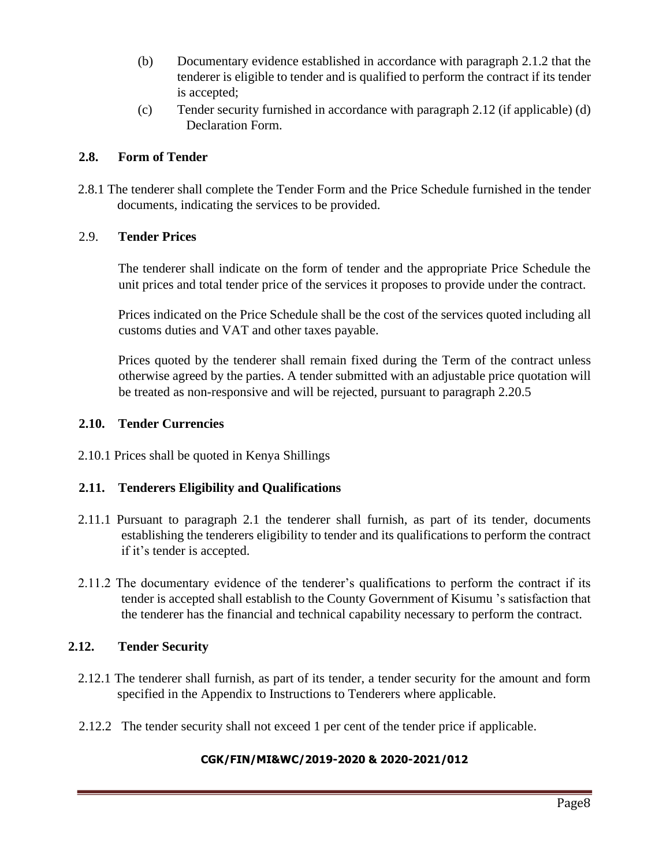- (b) Documentary evidence established in accordance with paragraph 2.1.2 that the tenderer is eligible to tender and is qualified to perform the contract if its tender is accepted;
- (c) Tender security furnished in accordance with paragraph 2.12 (if applicable) (d) Declaration Form.

# **2.8. Form of Tender**

2.8.1 The tenderer shall complete the Tender Form and the Price Schedule furnished in the tender documents, indicating the services to be provided.

# 2.9. **Tender Prices**

The tenderer shall indicate on the form of tender and the appropriate Price Schedule the unit prices and total tender price of the services it proposes to provide under the contract.

Prices indicated on the Price Schedule shall be the cost of the services quoted including all customs duties and VAT and other taxes payable.

Prices quoted by the tenderer shall remain fixed during the Term of the contract unless otherwise agreed by the parties. A tender submitted with an adjustable price quotation will be treated as non-responsive and will be rejected, pursuant to paragraph 2.20.5

# **2.10. Tender Currencies**

2.10.1 Prices shall be quoted in Kenya Shillings

# **2.11. Tenderers Eligibility and Qualifications**

- 2.11.1 Pursuant to paragraph 2.1 the tenderer shall furnish, as part of its tender, documents establishing the tenderers eligibility to tender and its qualifications to perform the contract if it's tender is accepted.
- 2.11.2 The documentary evidence of the tenderer's qualifications to perform the contract if its tender is accepted shall establish to the County Government of Kisumu 's satisfaction that the tenderer has the financial and technical capability necessary to perform the contract.

# **2.12. Tender Security**

- 2.12.1 The tenderer shall furnish, as part of its tender, a tender security for the amount and form specified in the Appendix to Instructions to Tenderers where applicable.
- 2.12.2 The tender security shall not exceed 1 per cent of the tender price if applicable.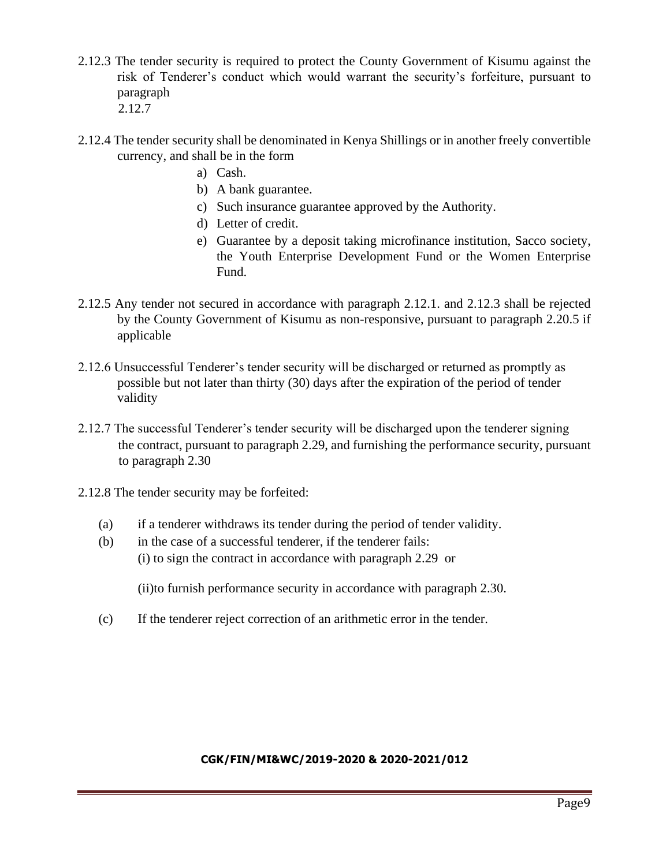- 2.12.3 The tender security is required to protect the County Government of Kisumu against the risk of Tenderer's conduct which would warrant the security's forfeiture, pursuant to paragraph 2.12.7
- 2.12.4 The tender security shall be denominated in Kenya Shillings or in another freely convertible currency, and shall be in the form
	- a) Cash.
	- b) A bank guarantee.
	- c) Such insurance guarantee approved by the Authority.
	- d) Letter of credit.
	- e) Guarantee by a deposit taking microfinance institution, Sacco society, the Youth Enterprise Development Fund or the Women Enterprise Fund.
- 2.12.5 Any tender not secured in accordance with paragraph 2.12.1. and 2.12.3 shall be rejected by the County Government of Kisumu as non-responsive, pursuant to paragraph 2.20.5 if applicable
- 2.12.6 Unsuccessful Tenderer's tender security will be discharged or returned as promptly as possible but not later than thirty (30) days after the expiration of the period of tender validity
- 2.12.7 The successful Tenderer's tender security will be discharged upon the tenderer signing the contract, pursuant to paragraph 2.29, and furnishing the performance security, pursuant to paragraph 2.30
- 2.12.8 The tender security may be forfeited:
	- (a) if a tenderer withdraws its tender during the period of tender validity.
	- (b) in the case of a successful tenderer, if the tenderer fails: (i) to sign the contract in accordance with paragraph 2.29 or

(ii)to furnish performance security in accordance with paragraph 2.30.

(c) If the tenderer reject correction of an arithmetic error in the tender.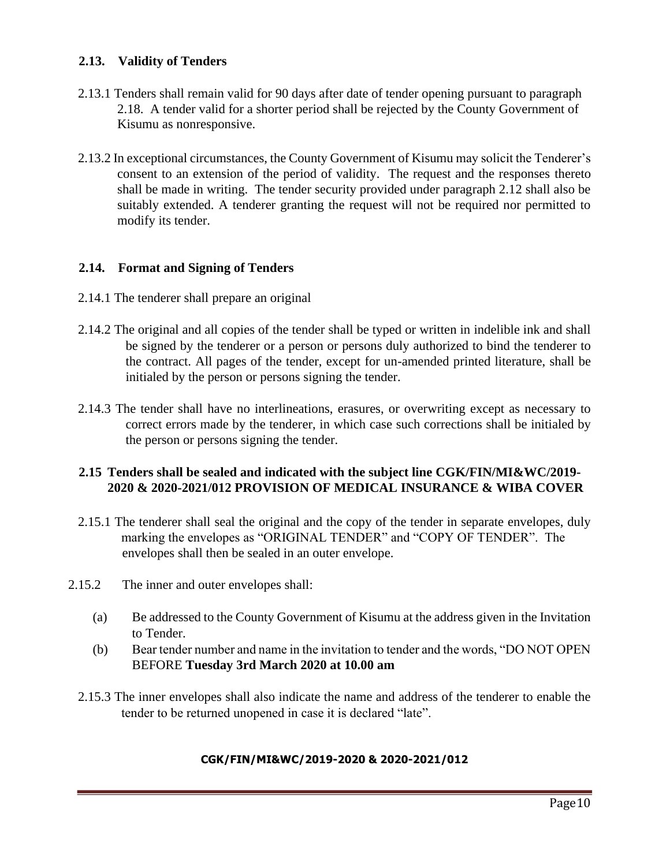# **2.13. Validity of Tenders**

- 2.13.1 Tenders shall remain valid for 90 days after date of tender opening pursuant to paragraph 2.18. A tender valid for a shorter period shall be rejected by the County Government of Kisumu as nonresponsive.
- 2.13.2 In exceptional circumstances, the County Government of Kisumu may solicit the Tenderer's consent to an extension of the period of validity. The request and the responses thereto shall be made in writing. The tender security provided under paragraph 2.12 shall also be suitably extended. A tenderer granting the request will not be required nor permitted to modify its tender.

#### **2.14. Format and Signing of Tenders**

- 2.14.1 The tenderer shall prepare an original
- 2.14.2 The original and all copies of the tender shall be typed or written in indelible ink and shall be signed by the tenderer or a person or persons duly authorized to bind the tenderer to the contract. All pages of the tender, except for un-amended printed literature, shall be initialed by the person or persons signing the tender.
- 2.14.3 The tender shall have no interlineations, erasures, or overwriting except as necessary to correct errors made by the tenderer, in which case such corrections shall be initialed by the person or persons signing the tender.

#### **2.15 Tenders shall be sealed and indicated with the subject line CGK/FIN/MI&WC/2019- 2020 & 2020-2021/012 PROVISION OF MEDICAL INSURANCE & WIBA COVER**

- 2.15.1 The tenderer shall seal the original and the copy of the tender in separate envelopes, duly marking the envelopes as "ORIGINAL TENDER" and "COPY OF TENDER". The envelopes shall then be sealed in an outer envelope.
- 2.15.2 The inner and outer envelopes shall:
	- (a) Be addressed to the County Government of Kisumu at the address given in the Invitation to Tender.
	- (b) Bear tender number and name in the invitation to tender and the words, "DO NOT OPEN BEFORE **Tuesday 3rd March 2020 at 10.00 am**
	- 2.15.3 The inner envelopes shall also indicate the name and address of the tenderer to enable the tender to be returned unopened in case it is declared "late".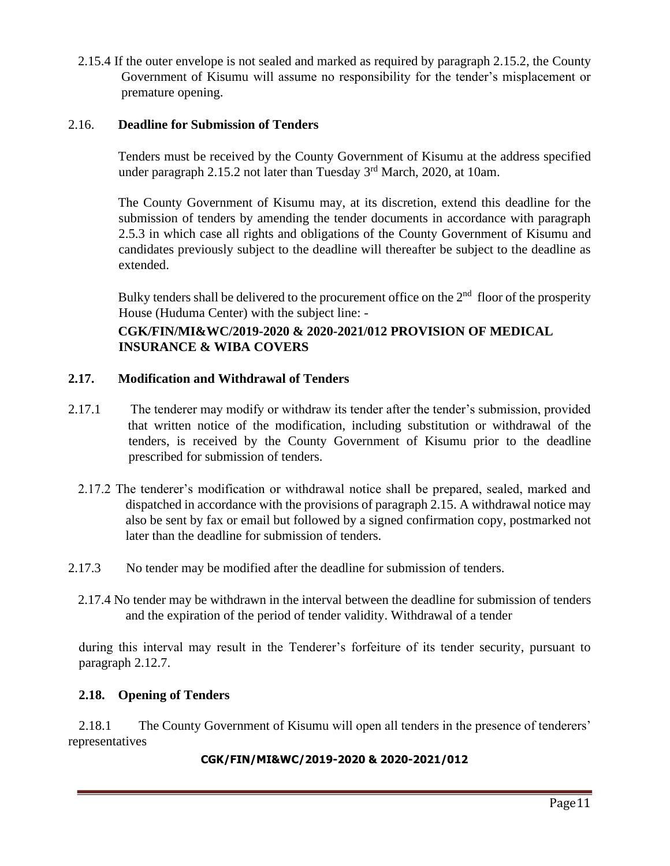2.15.4 If the outer envelope is not sealed and marked as required by paragraph 2.15.2, the County Government of Kisumu will assume no responsibility for the tender's misplacement or premature opening.

#### 2.16. **Deadline for Submission of Tenders**

Tenders must be received by the County Government of Kisumu at the address specified under paragraph 2.15.2 not later than Tuesday 3<sup>rd</sup> March, 2020, at 10am.

The County Government of Kisumu may, at its discretion, extend this deadline for the submission of tenders by amending the tender documents in accordance with paragraph 2.5.3 in which case all rights and obligations of the County Government of Kisumu and candidates previously subject to the deadline will thereafter be subject to the deadline as extended.

Bulky tenders shall be delivered to the procurement office on the  $2<sup>nd</sup>$  floor of the prosperity House (Huduma Center) with the subject line: -

# **CGK/FIN/MI&WC/2019-2020 & 2020-2021/012 PROVISION OF MEDICAL INSURANCE & WIBA COVERS**

# **2.17. Modification and Withdrawal of Tenders**

- 2.17.1 The tenderer may modify or withdraw its tender after the tender's submission, provided that written notice of the modification, including substitution or withdrawal of the tenders, is received by the County Government of Kisumu prior to the deadline prescribed for submission of tenders.
	- 2.17.2 The tenderer's modification or withdrawal notice shall be prepared, sealed, marked and dispatched in accordance with the provisions of paragraph 2.15. A withdrawal notice may also be sent by fax or email but followed by a signed confirmation copy, postmarked not later than the deadline for submission of tenders.
- 2.17.3 No tender may be modified after the deadline for submission of tenders.
	- 2.17.4 No tender may be withdrawn in the interval between the deadline for submission of tenders and the expiration of the period of tender validity. Withdrawal of a tender

during this interval may result in the Tenderer's forfeiture of its tender security, pursuant to paragraph 2.12.7.

#### **2.18. Opening of Tenders**

2.18.1 The County Government of Kisumu will open all tenders in the presence of tenderers' representatives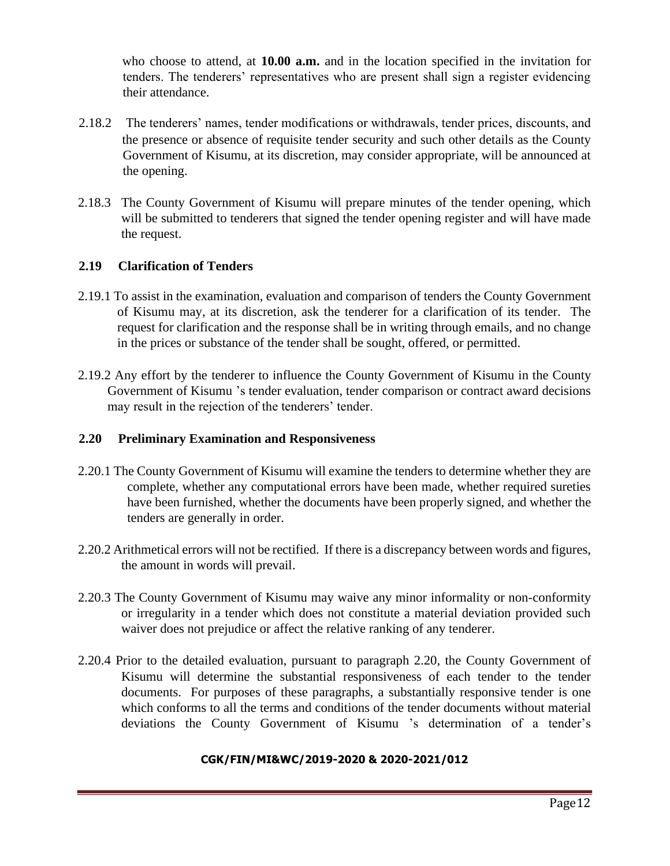who choose to attend, at **10.00 a.m.** and in the location specified in the invitation for tenders. The tenderers' representatives who are present shall sign a register evidencing their attendance.

- 2.18.2 The tenderers' names, tender modifications or withdrawals, tender prices, discounts, and the presence or absence of requisite tender security and such other details as the County Government of Kisumu, at its discretion, may consider appropriate, will be announced at the opening.
- 2.18.3 The County Government of Kisumu will prepare minutes of the tender opening, which will be submitted to tenderers that signed the tender opening register and will have made the request.

#### **2.19 Clarification of Tenders**

- 2.19.1 To assist in the examination, evaluation and comparison of tenders the County Government of Kisumu may, at its discretion, ask the tenderer for a clarification of its tender. The request for clarification and the response shall be in writing through emails, and no change in the prices or substance of the tender shall be sought, offered, or permitted.
- 2.19.2 Any effort by the tenderer to influence the County Government of Kisumu in the County Government of Kisumu 's tender evaluation, tender comparison or contract award decisions may result in the rejection of the tenderers' tender.

#### **2.20 Preliminary Examination and Responsiveness**

- 2.20.1 The County Government of Kisumu will examine the tenders to determine whether they are complete, whether any computational errors have been made, whether required sureties have been furnished, whether the documents have been properly signed, and whether the tenders are generally in order.
- 2.20.2 Arithmetical errors will not be rectified. If there is a discrepancy between words and figures, the amount in words will prevail.
- 2.20.3 The County Government of Kisumu may waive any minor informality or non-conformity or irregularity in a tender which does not constitute a material deviation provided such waiver does not prejudice or affect the relative ranking of any tenderer.
- 2.20.4 Prior to the detailed evaluation, pursuant to paragraph 2.20, the County Government of Kisumu will determine the substantial responsiveness of each tender to the tender documents. For purposes of these paragraphs, a substantially responsive tender is one which conforms to all the terms and conditions of the tender documents without material deviations the County Government of Kisumu 's determination of a tender's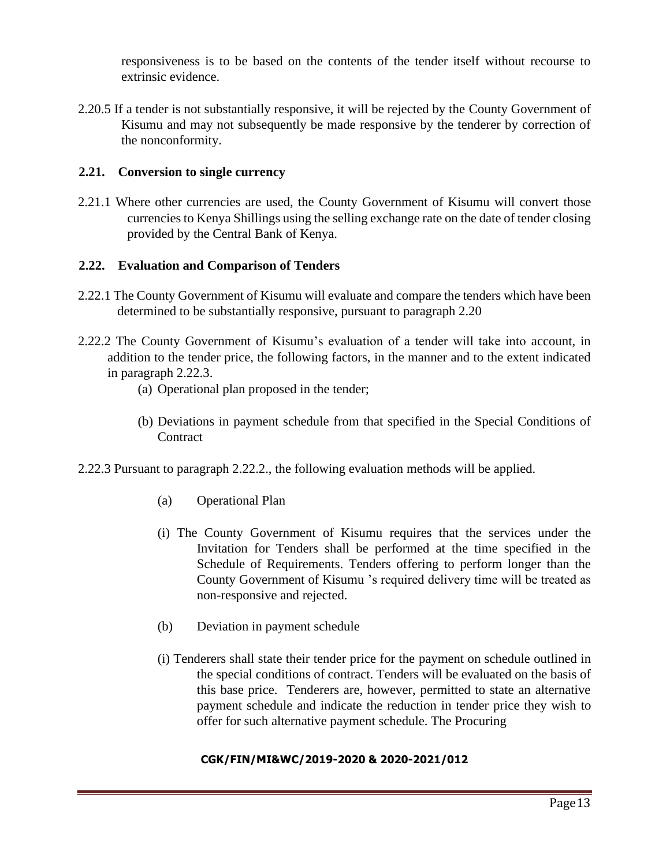responsiveness is to be based on the contents of the tender itself without recourse to extrinsic evidence.

2.20.5 If a tender is not substantially responsive, it will be rejected by the County Government of Kisumu and may not subsequently be made responsive by the tenderer by correction of the nonconformity.

#### **2.21. Conversion to single currency**

2.21.1 Where other currencies are used, the County Government of Kisumu will convert those currencies to Kenya Shillings using the selling exchange rate on the date of tender closing provided by the Central Bank of Kenya.

#### **2.22. Evaluation and Comparison of Tenders**

- 2.22.1 The County Government of Kisumu will evaluate and compare the tenders which have been determined to be substantially responsive, pursuant to paragraph 2.20
- 2.22.2 The County Government of Kisumu's evaluation of a tender will take into account, in addition to the tender price, the following factors, in the manner and to the extent indicated in paragraph 2.22.3.
	- (a) Operational plan proposed in the tender;
	- (b) Deviations in payment schedule from that specified in the Special Conditions of **Contract**
- 2.22.3 Pursuant to paragraph 2.22.2., the following evaluation methods will be applied.
	- (a) Operational Plan
	- (i) The County Government of Kisumu requires that the services under the Invitation for Tenders shall be performed at the time specified in the Schedule of Requirements. Tenders offering to perform longer than the County Government of Kisumu 's required delivery time will be treated as non-responsive and rejected.
	- (b) Deviation in payment schedule
	- (i) Tenderers shall state their tender price for the payment on schedule outlined in the special conditions of contract. Tenders will be evaluated on the basis of this base price. Tenderers are, however, permitted to state an alternative payment schedule and indicate the reduction in tender price they wish to offer for such alternative payment schedule. The Procuring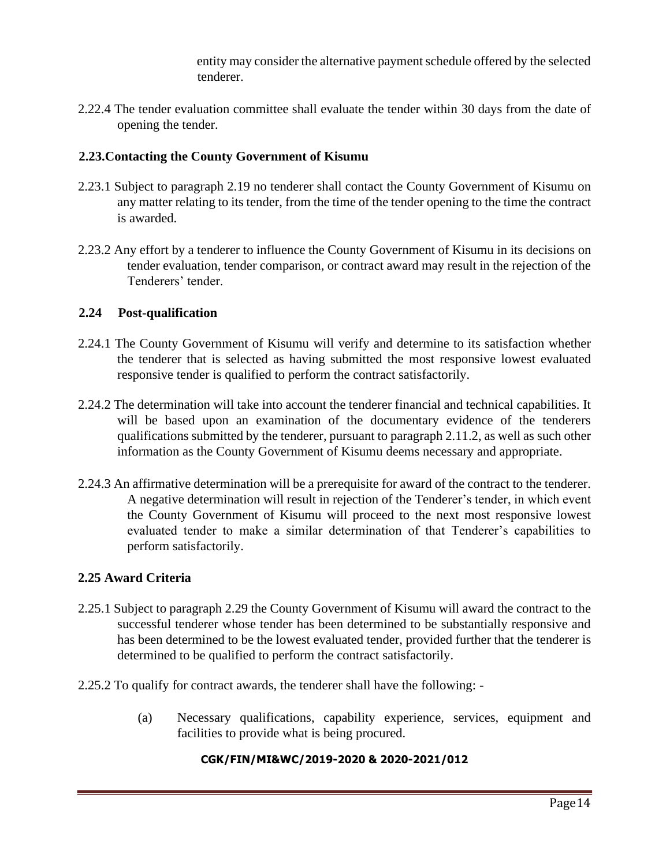entity may consider the alternative payment schedule offered by the selected tenderer.

2.22.4 The tender evaluation committee shall evaluate the tender within 30 days from the date of opening the tender.

### **2.23.Contacting the County Government of Kisumu**

- 2.23.1 Subject to paragraph 2.19 no tenderer shall contact the County Government of Kisumu on any matter relating to its tender, from the time of the tender opening to the time the contract is awarded.
- 2.23.2 Any effort by a tenderer to influence the County Government of Kisumu in its decisions on tender evaluation, tender comparison, or contract award may result in the rejection of the Tenderers' tender.

#### **2.24 Post-qualification**

- 2.24.1 The County Government of Kisumu will verify and determine to its satisfaction whether the tenderer that is selected as having submitted the most responsive lowest evaluated responsive tender is qualified to perform the contract satisfactorily.
- 2.24.2 The determination will take into account the tenderer financial and technical capabilities. It will be based upon an examination of the documentary evidence of the tenderers qualifications submitted by the tenderer, pursuant to paragraph 2.11.2, as well as such other information as the County Government of Kisumu deems necessary and appropriate.
- 2.24.3 An affirmative determination will be a prerequisite for award of the contract to the tenderer. A negative determination will result in rejection of the Tenderer's tender, in which event the County Government of Kisumu will proceed to the next most responsive lowest evaluated tender to make a similar determination of that Tenderer's capabilities to perform satisfactorily.

#### **2.25 Award Criteria**

- 2.25.1 Subject to paragraph 2.29 the County Government of Kisumu will award the contract to the successful tenderer whose tender has been determined to be substantially responsive and has been determined to be the lowest evaluated tender, provided further that the tenderer is determined to be qualified to perform the contract satisfactorily.
- 2.25.2 To qualify for contract awards, the tenderer shall have the following:
	- (a) Necessary qualifications, capability experience, services, equipment and facilities to provide what is being procured.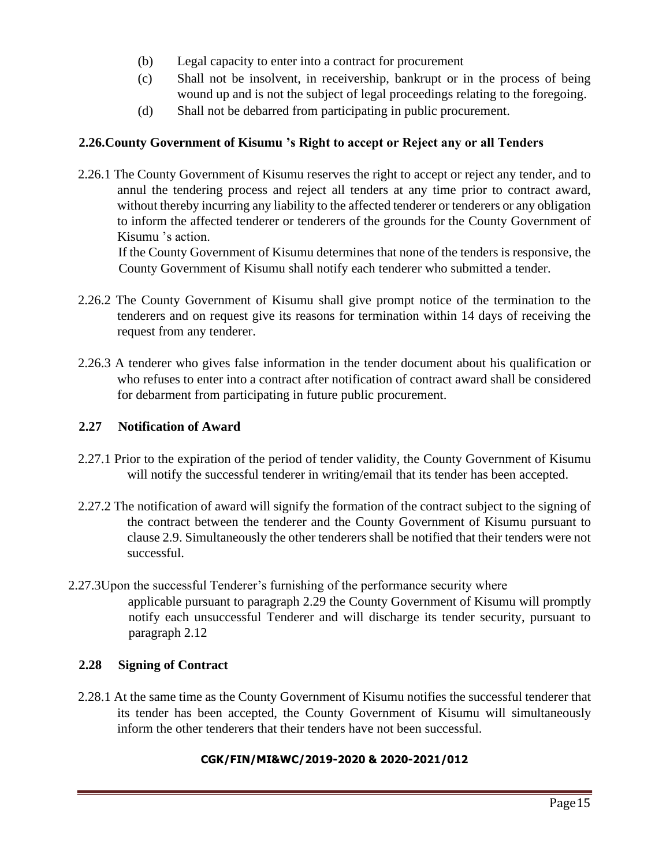- (b) Legal capacity to enter into a contract for procurement
- (c) Shall not be insolvent, in receivership, bankrupt or in the process of being wound up and is not the subject of legal proceedings relating to the foregoing.
- (d) Shall not be debarred from participating in public procurement.

### **2.26.County Government of Kisumu 's Right to accept or Reject any or all Tenders**

2.26.1 The County Government of Kisumu reserves the right to accept or reject any tender, and to annul the tendering process and reject all tenders at any time prior to contract award, without thereby incurring any liability to the affected tenderer or tenderers or any obligation to inform the affected tenderer or tenderers of the grounds for the County Government of Kisumu 's action.

If the County Government of Kisumu determines that none of the tenders is responsive, the County Government of Kisumu shall notify each tenderer who submitted a tender.

- 2.26.2 The County Government of Kisumu shall give prompt notice of the termination to the tenderers and on request give its reasons for termination within 14 days of receiving the request from any tenderer.
- 2.26.3 A tenderer who gives false information in the tender document about his qualification or who refuses to enter into a contract after notification of contract award shall be considered for debarment from participating in future public procurement.

#### **2.27 Notification of Award**

- 2.27.1 Prior to the expiration of the period of tender validity, the County Government of Kisumu will notify the successful tenderer in writing/email that its tender has been accepted.
- 2.27.2 The notification of award will signify the formation of the contract subject to the signing of the contract between the tenderer and the County Government of Kisumu pursuant to clause 2.9. Simultaneously the other tenderers shall be notified that their tenders were not successful.
- 2.27.3Upon the successful Tenderer's furnishing of the performance security where applicable pursuant to paragraph 2.29 the County Government of Kisumu will promptly notify each unsuccessful Tenderer and will discharge its tender security, pursuant to paragraph 2.12

#### **2.28 Signing of Contract**

2.28.1 At the same time as the County Government of Kisumu notifies the successful tenderer that its tender has been accepted, the County Government of Kisumu will simultaneously inform the other tenderers that their tenders have not been successful.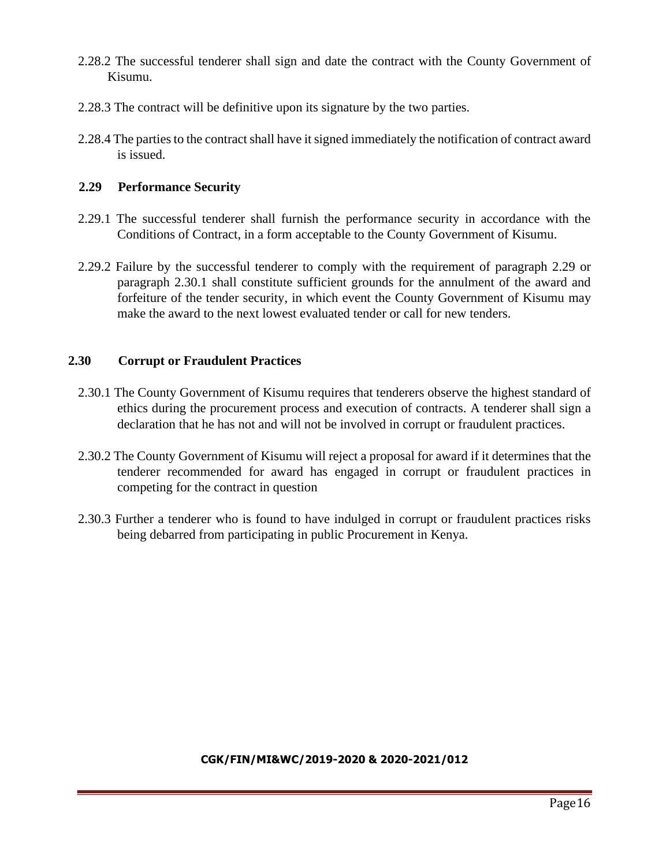- 2.28.2 The successful tenderer shall sign and date the contract with the County Government of Kisumu.
- 2.28.3 The contract will be definitive upon its signature by the two parties.
- 2.28.4 The parties to the contract shall have it signed immediately the notification of contract award is issued.

### **2.29 Performance Security**

- 2.29.1 The successful tenderer shall furnish the performance security in accordance with the Conditions of Contract, in a form acceptable to the County Government of Kisumu.
- 2.29.2 Failure by the successful tenderer to comply with the requirement of paragraph 2.29 or paragraph 2.30.1 shall constitute sufficient grounds for the annulment of the award and forfeiture of the tender security, in which event the County Government of Kisumu may make the award to the next lowest evaluated tender or call for new tenders.

# **2.30 Corrupt or Fraudulent Practices**

- 2.30.1 The County Government of Kisumu requires that tenderers observe the highest standard of ethics during the procurement process and execution of contracts. A tenderer shall sign a declaration that he has not and will not be involved in corrupt or fraudulent practices.
- 2.30.2 The County Government of Kisumu will reject a proposal for award if it determines that the tenderer recommended for award has engaged in corrupt or fraudulent practices in competing for the contract in question
- 2.30.3 Further a tenderer who is found to have indulged in corrupt or fraudulent practices risks being debarred from participating in public Procurement in Kenya.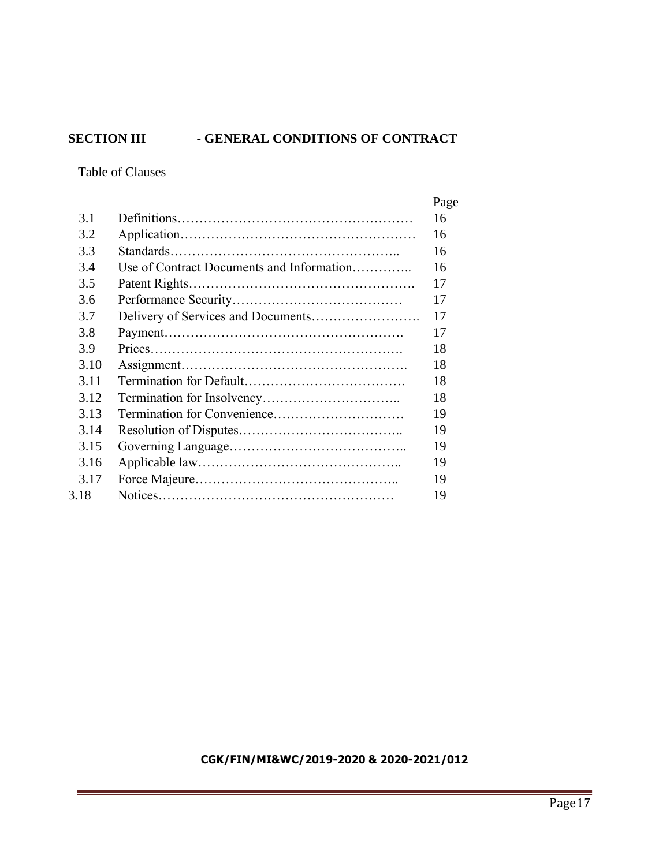# <span id="page-16-0"></span>**SECTION III - GENERAL CONDITIONS OF CONTRACT**

Table of Clauses

|      |                                           | Page |
|------|-------------------------------------------|------|
| 3.1  |                                           | 16   |
| 3.2  |                                           | 16   |
| 3.3  |                                           | 16   |
| 3.4  | Use of Contract Documents and Information | 16   |
| 3.5  |                                           | 17   |
| 3.6  |                                           | 17   |
| 3.7  |                                           | 17   |
| 3.8  |                                           | 17   |
| 3.9  |                                           | 18   |
| 3.10 |                                           | 18   |
| 3.11 |                                           | 18   |
| 3.12 |                                           | 18   |
| 3.13 |                                           | 19   |
| 3.14 |                                           | 19   |
| 3.15 |                                           | 19   |
| 3.16 |                                           | 19   |
| 3.17 |                                           | 19   |
| 3.18 |                                           | 19   |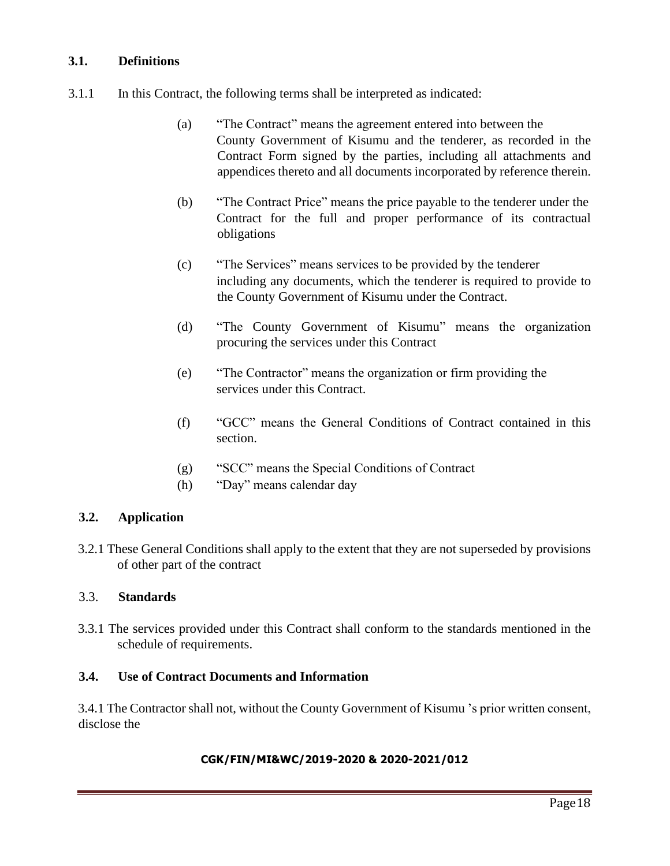### **3.1. Definitions**

- 3.1.1 In this Contract, the following terms shall be interpreted as indicated:
	- (a) "The Contract" means the agreement entered into between the County Government of Kisumu and the tenderer, as recorded in the Contract Form signed by the parties, including all attachments and appendices thereto and all documents incorporated by reference therein.
	- (b) "The Contract Price" means the price payable to the tenderer under the Contract for the full and proper performance of its contractual obligations
	- (c) "The Services" means services to be provided by the tenderer including any documents, which the tenderer is required to provide to the County Government of Kisumu under the Contract.
	- (d) "The County Government of Kisumu" means the organization procuring the services under this Contract
	- (e) "The Contractor" means the organization or firm providing the services under this Contract.
	- (f) "GCC" means the General Conditions of Contract contained in this section.
	- (g) "SCC" means the Special Conditions of Contract
	- (h) "Day" means calendar day

#### **3.2. Application**

3.2.1 These General Conditions shall apply to the extent that they are not superseded by provisions of other part of the contract

#### 3.3. **Standards**

3.3.1 The services provided under this Contract shall conform to the standards mentioned in the schedule of requirements.

#### **3.4. Use of Contract Documents and Information**

3.4.1 The Contractor shall not, without the County Government of Kisumu 's prior written consent, disclose the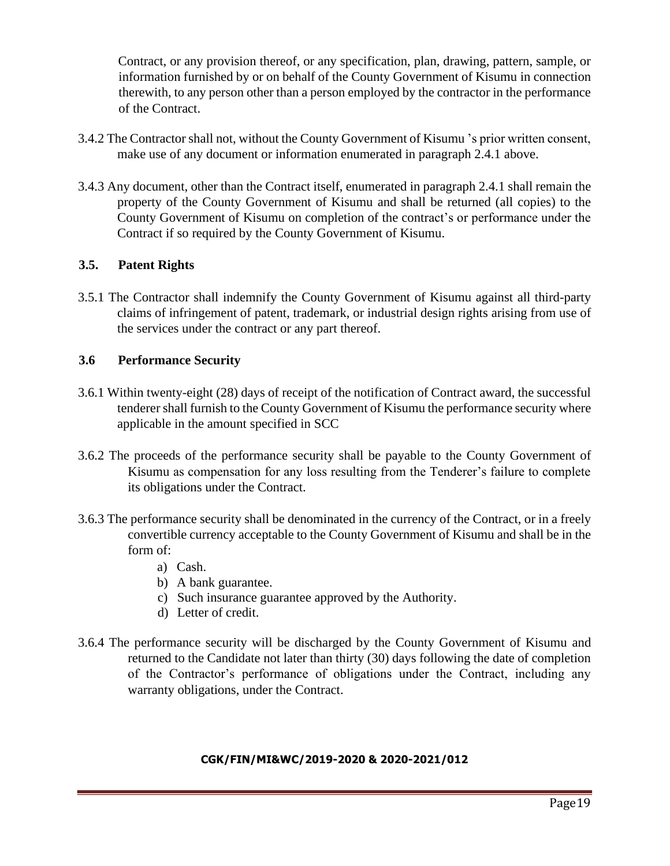Contract, or any provision thereof, or any specification, plan, drawing, pattern, sample, or information furnished by or on behalf of the County Government of Kisumu in connection therewith, to any person other than a person employed by the contractor in the performance of the Contract.

- 3.4.2 The Contractor shall not, without the County Government of Kisumu 's prior written consent, make use of any document or information enumerated in paragraph 2.4.1 above.
- 3.4.3 Any document, other than the Contract itself, enumerated in paragraph 2.4.1 shall remain the property of the County Government of Kisumu and shall be returned (all copies) to the County Government of Kisumu on completion of the contract's or performance under the Contract if so required by the County Government of Kisumu.

# **3.5. Patent Rights**

3.5.1 The Contractor shall indemnify the County Government of Kisumu against all third-party claims of infringement of patent, trademark, or industrial design rights arising from use of the services under the contract or any part thereof.

#### **3.6 Performance Security**

- 3.6.1 Within twenty-eight (28) days of receipt of the notification of Contract award, the successful tenderer shall furnish to the County Government of Kisumu the performance security where applicable in the amount specified in SCC
- 3.6.2 The proceeds of the performance security shall be payable to the County Government of Kisumu as compensation for any loss resulting from the Tenderer's failure to complete its obligations under the Contract.
- 3.6.3 The performance security shall be denominated in the currency of the Contract, or in a freely convertible currency acceptable to the County Government of Kisumu and shall be in the form of:
	- a) Cash.
	- b) A bank guarantee.
	- c) Such insurance guarantee approved by the Authority.
	- d) Letter of credit.
- 3.6.4 The performance security will be discharged by the County Government of Kisumu and returned to the Candidate not later than thirty (30) days following the date of completion of the Contractor's performance of obligations under the Contract, including any warranty obligations, under the Contract.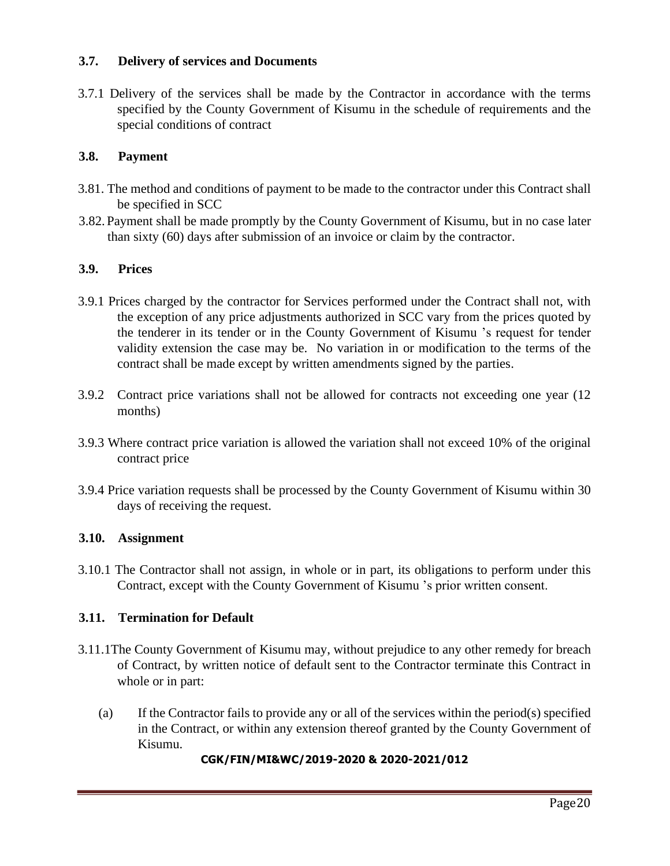### **3.7. Delivery of services and Documents**

3.7.1 Delivery of the services shall be made by the Contractor in accordance with the terms specified by the County Government of Kisumu in the schedule of requirements and the special conditions of contract

### **3.8. Payment**

- 3.81. The method and conditions of payment to be made to the contractor under this Contract shall be specified in SCC
- 3.82. Payment shall be made promptly by the County Government of Kisumu, but in no case later than sixty (60) days after submission of an invoice or claim by the contractor.

#### **3.9. Prices**

- 3.9.1 Prices charged by the contractor for Services performed under the Contract shall not, with the exception of any price adjustments authorized in SCC vary from the prices quoted by the tenderer in its tender or in the County Government of Kisumu 's request for tender validity extension the case may be. No variation in or modification to the terms of the contract shall be made except by written amendments signed by the parties.
- 3.9.2 Contract price variations shall not be allowed for contracts not exceeding one year (12 months)
- 3.9.3 Where contract price variation is allowed the variation shall not exceed 10% of the original contract price
- 3.9.4 Price variation requests shall be processed by the County Government of Kisumu within 30 days of receiving the request.

#### **3.10. Assignment**

3.10.1 The Contractor shall not assign, in whole or in part, its obligations to perform under this Contract, except with the County Government of Kisumu 's prior written consent.

#### **3.11. Termination for Default**

- 3.11.1The County Government of Kisumu may, without prejudice to any other remedy for breach of Contract, by written notice of default sent to the Contractor terminate this Contract in whole or in part:
	- (a) If the Contractor fails to provide any or all of the services within the period(s) specified in the Contract, or within any extension thereof granted by the County Government of Kisumu.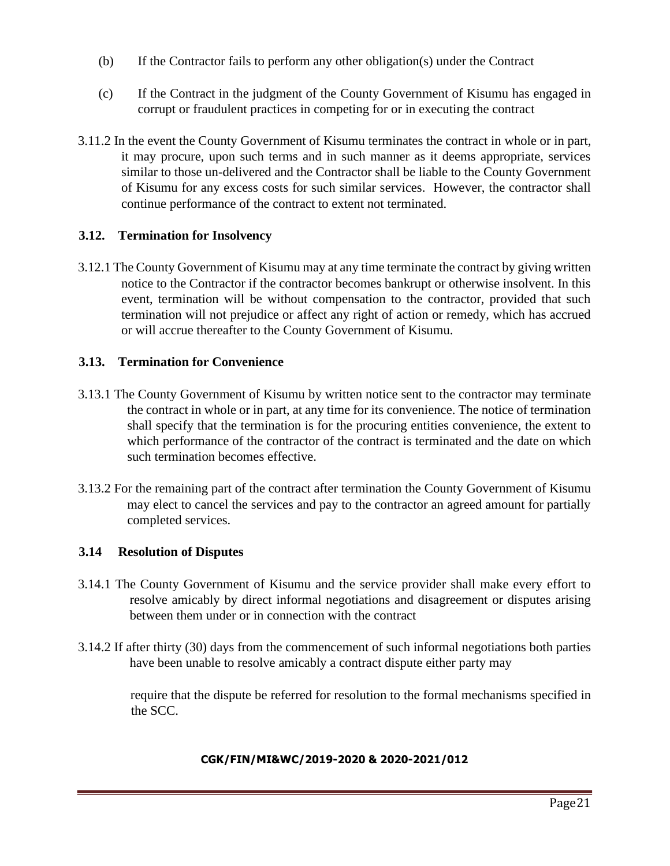- (b) If the Contractor fails to perform any other obligation(s) under the Contract
- (c) If the Contract in the judgment of the County Government of Kisumu has engaged in corrupt or fraudulent practices in competing for or in executing the contract
- 3.11.2 In the event the County Government of Kisumu terminates the contract in whole or in part, it may procure, upon such terms and in such manner as it deems appropriate, services similar to those un-delivered and the Contractor shall be liable to the County Government of Kisumu for any excess costs for such similar services. However, the contractor shall continue performance of the contract to extent not terminated.

#### **3.12. Termination for Insolvency**

3.12.1 The County Government of Kisumu may at any time terminate the contract by giving written notice to the Contractor if the contractor becomes bankrupt or otherwise insolvent. In this event, termination will be without compensation to the contractor, provided that such termination will not prejudice or affect any right of action or remedy, which has accrued or will accrue thereafter to the County Government of Kisumu.

#### **3.13. Termination for Convenience**

- 3.13.1 The County Government of Kisumu by written notice sent to the contractor may terminate the contract in whole or in part, at any time for its convenience. The notice of termination shall specify that the termination is for the procuring entities convenience, the extent to which performance of the contractor of the contract is terminated and the date on which such termination becomes effective.
- 3.13.2 For the remaining part of the contract after termination the County Government of Kisumu may elect to cancel the services and pay to the contractor an agreed amount for partially completed services.

#### **3.14 Resolution of Disputes**

- 3.14.1 The County Government of Kisumu and the service provider shall make every effort to resolve amicably by direct informal negotiations and disagreement or disputes arising between them under or in connection with the contract
- 3.14.2 If after thirty (30) days from the commencement of such informal negotiations both parties have been unable to resolve amicably a contract dispute either party may

require that the dispute be referred for resolution to the formal mechanisms specified in the SCC.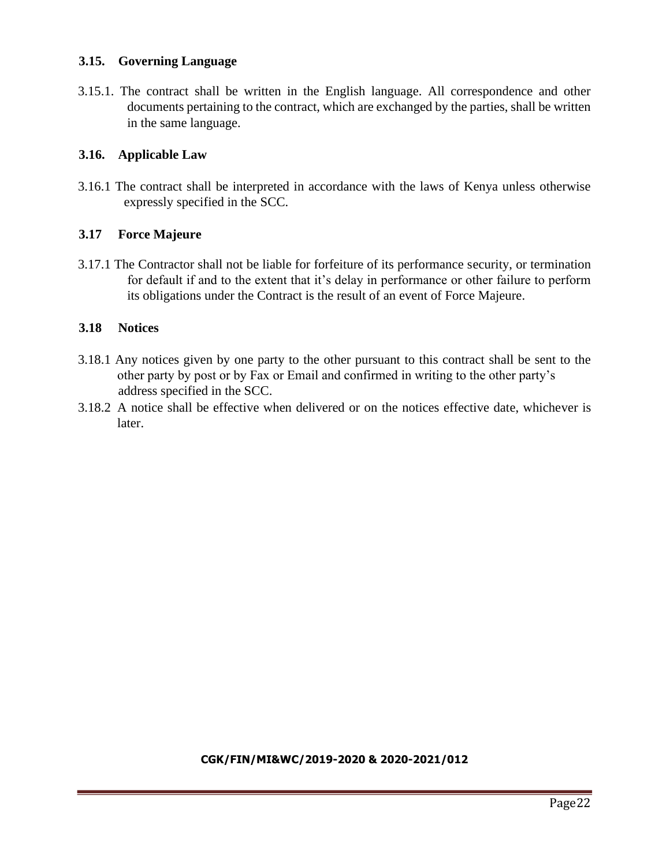### **3.15. Governing Language**

3.15.1. The contract shall be written in the English language. All correspondence and other documents pertaining to the contract, which are exchanged by the parties, shall be written in the same language.

#### **3.16. Applicable Law**

3.16.1 The contract shall be interpreted in accordance with the laws of Kenya unless otherwise expressly specified in the SCC.

#### **3.17 Force Majeure**

3.17.1 The Contractor shall not be liable for forfeiture of its performance security, or termination for default if and to the extent that it's delay in performance or other failure to perform its obligations under the Contract is the result of an event of Force Majeure.

#### **3.18 Notices**

- 3.18.1 Any notices given by one party to the other pursuant to this contract shall be sent to the other party by post or by Fax or Email and confirmed in writing to the other party's address specified in the SCC.
- 3.18.2 A notice shall be effective when delivered or on the notices effective date, whichever is later.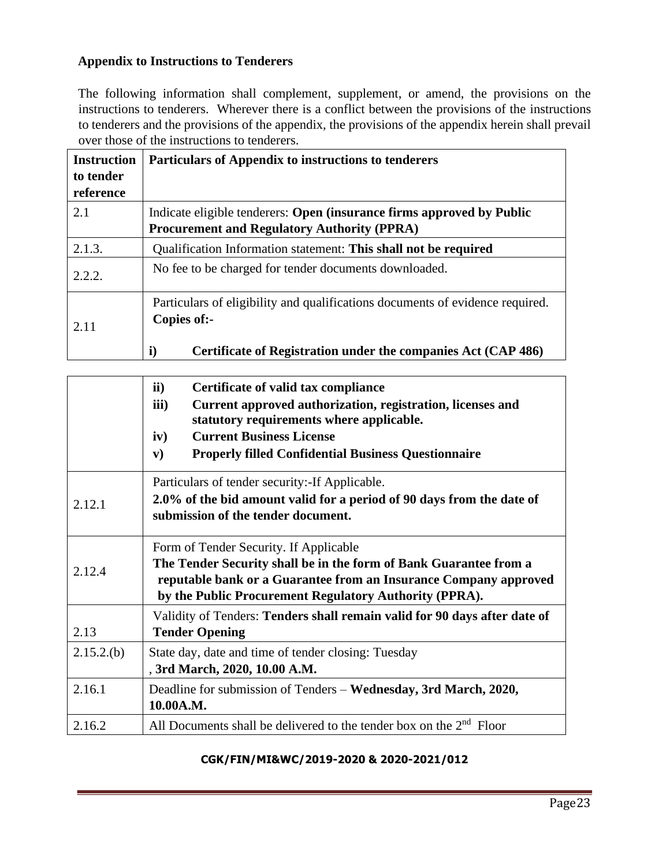# **Appendix to Instructions to Tenderers**

The following information shall complement, supplement, or amend, the provisions on the instructions to tenderers. Wherever there is a conflict between the provisions of the instructions to tenderers and the provisions of the appendix, the provisions of the appendix herein shall prevail over those of the instructions to tenderers.

| <b>Instruction</b><br>to tender<br>reference | Particulars of Appendix to instructions to tenderers                                                                        |
|----------------------------------------------|-----------------------------------------------------------------------------------------------------------------------------|
| 2.1                                          | Indicate eligible tenderers: Open (insurance firms approved by Public<br><b>Procurement and Regulatory Authority (PPRA)</b> |
| 2.1.3.                                       | Qualification Information statement: This shall not be required                                                             |
| 2.2.2.                                       | No fee to be charged for tender documents downloaded.                                                                       |
| 2.11                                         | Particulars of eligibility and qualifications documents of evidence required.<br>Copies of:-                                |
|                                              | $\mathbf{i}$<br>Certificate of Registration under the companies Act (CAP 486)                                               |

|           | ii)<br>Certificate of valid tax compliance<br>iii)<br>Current approved authorization, registration, licenses and<br>statutory requirements where applicable.<br><b>Current Business License</b><br>iv)<br><b>Properly filled Confidential Business Questionnaire</b><br>${\bf v})$ |  |  |  |  |  |  |
|-----------|------------------------------------------------------------------------------------------------------------------------------------------------------------------------------------------------------------------------------------------------------------------------------------|--|--|--|--|--|--|
| 2.12.1    | Particulars of tender security: - If Applicable.<br>2.0% of the bid amount valid for a period of 90 days from the date of<br>submission of the tender document.                                                                                                                    |  |  |  |  |  |  |
| 2.12.4    | Form of Tender Security. If Applicable<br>The Tender Security shall be in the form of Bank Guarantee from a<br>reputable bank or a Guarantee from an Insurance Company approved<br>by the Public Procurement Regulatory Authority (PPRA).                                          |  |  |  |  |  |  |
| 2.13      | Validity of Tenders: Tenders shall remain valid for 90 days after date of<br><b>Tender Opening</b>                                                                                                                                                                                 |  |  |  |  |  |  |
| 2.15.2(b) | State day, date and time of tender closing: Tuesday<br>, 3rd March, 2020, 10.00 A.M.                                                                                                                                                                                               |  |  |  |  |  |  |
| 2.16.1    | Deadline for submission of Tenders – Wednesday, 3rd March, 2020,<br>10.00A.M.                                                                                                                                                                                                      |  |  |  |  |  |  |
| 2.16.2    | All Documents shall be delivered to the tender box on the $2nd$ Floor                                                                                                                                                                                                              |  |  |  |  |  |  |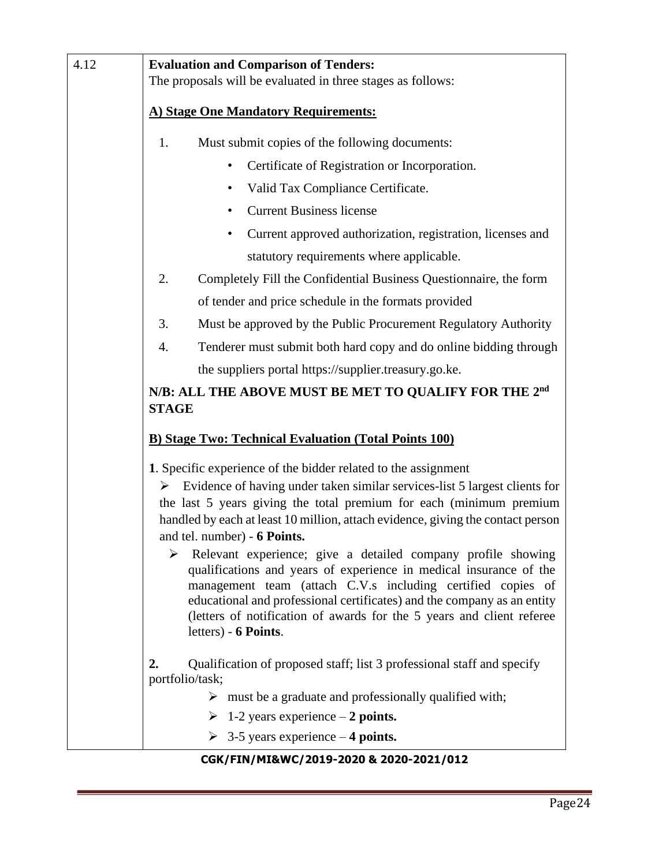| 4.12 | <b>Evaluation and Comparison of Tenders:</b><br>The proposals will be evaluated in three stages as follows:<br>A) Stage One Mandatory Requirements:                                                                                                                                                                                                                                                                                                                                                                                                                                                                                                                                                                                                   |  |  |  |  |  |  |  |  |
|------|-------------------------------------------------------------------------------------------------------------------------------------------------------------------------------------------------------------------------------------------------------------------------------------------------------------------------------------------------------------------------------------------------------------------------------------------------------------------------------------------------------------------------------------------------------------------------------------------------------------------------------------------------------------------------------------------------------------------------------------------------------|--|--|--|--|--|--|--|--|
|      |                                                                                                                                                                                                                                                                                                                                                                                                                                                                                                                                                                                                                                                                                                                                                       |  |  |  |  |  |  |  |  |
|      | Must submit copies of the following documents:<br>1.                                                                                                                                                                                                                                                                                                                                                                                                                                                                                                                                                                                                                                                                                                  |  |  |  |  |  |  |  |  |
|      | Certificate of Registration or Incorporation.                                                                                                                                                                                                                                                                                                                                                                                                                                                                                                                                                                                                                                                                                                         |  |  |  |  |  |  |  |  |
|      | Valid Tax Compliance Certificate.<br>٠                                                                                                                                                                                                                                                                                                                                                                                                                                                                                                                                                                                                                                                                                                                |  |  |  |  |  |  |  |  |
|      | <b>Current Business license</b>                                                                                                                                                                                                                                                                                                                                                                                                                                                                                                                                                                                                                                                                                                                       |  |  |  |  |  |  |  |  |
|      | Current approved authorization, registration, licenses and                                                                                                                                                                                                                                                                                                                                                                                                                                                                                                                                                                                                                                                                                            |  |  |  |  |  |  |  |  |
|      | statutory requirements where applicable.                                                                                                                                                                                                                                                                                                                                                                                                                                                                                                                                                                                                                                                                                                              |  |  |  |  |  |  |  |  |
|      | 2.<br>Completely Fill the Confidential Business Questionnaire, the form                                                                                                                                                                                                                                                                                                                                                                                                                                                                                                                                                                                                                                                                               |  |  |  |  |  |  |  |  |
|      | of tender and price schedule in the formats provided                                                                                                                                                                                                                                                                                                                                                                                                                                                                                                                                                                                                                                                                                                  |  |  |  |  |  |  |  |  |
|      | 3.<br>Must be approved by the Public Procurement Regulatory Authority                                                                                                                                                                                                                                                                                                                                                                                                                                                                                                                                                                                                                                                                                 |  |  |  |  |  |  |  |  |
|      | Tenderer must submit both hard copy and do online bidding through<br>4.                                                                                                                                                                                                                                                                                                                                                                                                                                                                                                                                                                                                                                                                               |  |  |  |  |  |  |  |  |
|      | the suppliers portal https://supplier.treasury.go.ke.                                                                                                                                                                                                                                                                                                                                                                                                                                                                                                                                                                                                                                                                                                 |  |  |  |  |  |  |  |  |
|      | N/B: ALL THE ABOVE MUST BE MET TO QUALIFY FOR THE 2nd<br><b>STAGE</b>                                                                                                                                                                                                                                                                                                                                                                                                                                                                                                                                                                                                                                                                                 |  |  |  |  |  |  |  |  |
|      | <b>B) Stage Two: Technical Evaluation (Total Points 100)</b>                                                                                                                                                                                                                                                                                                                                                                                                                                                                                                                                                                                                                                                                                          |  |  |  |  |  |  |  |  |
|      | 1. Specific experience of the bidder related to the assignment<br>Evidence of having under taken similar services-list 5 largest clients for<br>➤<br>the last 5 years giving the total premium for each (minimum premium<br>handled by each at least 10 million, attach evidence, giving the contact person<br>and tel. number) - 6 Points.<br>$\blacktriangleright$<br>Relevant experience; give a detailed company profile showing<br>qualifications and years of experience in medical insurance of the<br>management team (attach C.V.s including certified copies of<br>educational and professional certificates) and the company as an entity<br>(letters of notification of awards for the 5 years and client referee<br>letters) - 6 Points. |  |  |  |  |  |  |  |  |
|      | Qualification of proposed staff; list 3 professional staff and specify<br>2.<br>portfolio/task;<br>$\triangleright$ must be a graduate and professionally qualified with;<br>$\triangleright$ 1-2 years experience – 2 points.                                                                                                                                                                                                                                                                                                                                                                                                                                                                                                                        |  |  |  |  |  |  |  |  |
|      | $\geq$ 3-5 years experience – 4 points.                                                                                                                                                                                                                                                                                                                                                                                                                                                                                                                                                                                                                                                                                                               |  |  |  |  |  |  |  |  |
|      | CGK/FIN/MI&WC/2019-2020 & 2020-2021/012                                                                                                                                                                                                                                                                                                                                                                                                                                                                                                                                                                                                                                                                                                               |  |  |  |  |  |  |  |  |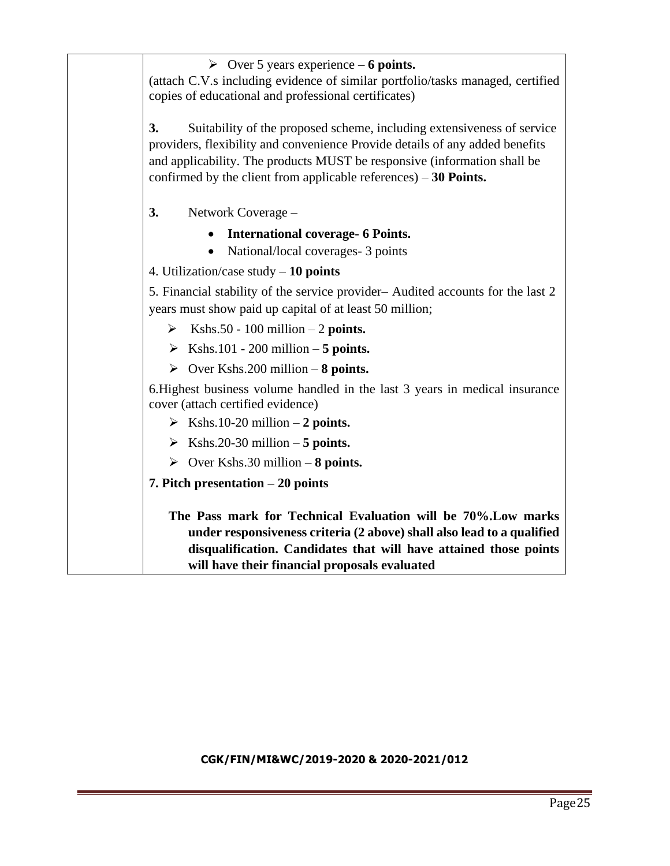➢ Over 5 years experience – **6 points.** (attach C.V.s including evidence of similar portfolio/tasks managed, certified copies of educational and professional certificates) **3.** Suitability of the proposed scheme, including extensiveness of service providers, flexibility and convenience Provide details of any added benefits and applicability. The products MUST be responsive (information shall be confirmed by the client from applicable references) – **30 Points. 3.** Network Coverage – • **International coverage- 6 Points.** • National/local coverages - 3 points 4. Utilization/case study – **10 points** 5. Financial stability of the service provider– Audited accounts for the last 2 years must show paid up capital of at least 50 million;  $\triangleright$  Kshs.50 - 100 million – 2 **points.**  $\triangleright$  Kshs.101 - 200 million – 5 points. ➢ Over Kshs.200 million – **8 points.** 6.Highest business volume handled in the last 3 years in medical insurance cover (attach certified evidence)  $\triangleright$  Kshs.10-20 million – 2 points.  $\triangleright$  Kshs.20-30 million – **5 points.** ➢ Over Kshs.30 million – **8 points. 7. Pitch presentation – 20 points The Pass mark for Technical Evaluation will be 70%.Low marks under responsiveness criteria (2 above) shall also lead to a qualified disqualification. Candidates that will have attained those points will have their financial proposals evaluated**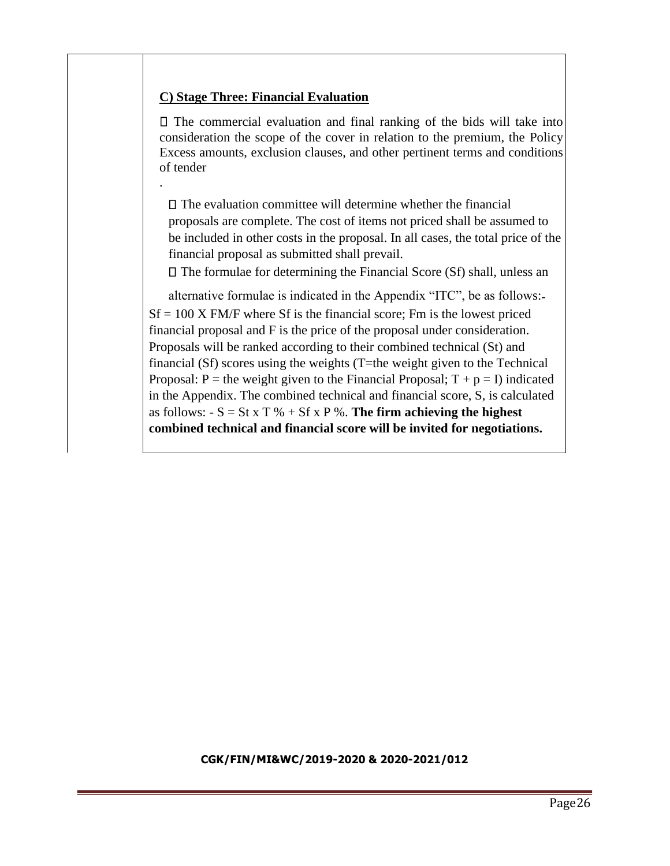# **C) Stage Three: Financial Evaluation**

.

 $\Box$  The commercial evaluation and final ranking of the bids will take into consideration the scope of the cover in relation to the premium, the Policy Excess amounts, exclusion clauses, and other pertinent terms and conditions of tender

 $\square$  The evaluation committee will determine whether the financial proposals are complete. The cost of items not priced shall be assumed to be included in other costs in the proposal. In all cases, the total price of the financial proposal as submitted shall prevail.

 $\Box$  The formulae for determining the Financial Score (Sf) shall, unless an

alternative formulae is indicated in the Appendix "ITC", be as follows:-  $Sf = 100$  X FM/F where Sf is the financial score; Fm is the lowest priced financial proposal and F is the price of the proposal under consideration. Proposals will be ranked according to their combined technical (St) and financial (Sf) scores using the weights (T=the weight given to the Technical Proposal: P = the weight given to the Financial Proposal;  $T + p = I$ ) indicated in the Appendix. The combined technical and financial score, S, is calculated as follows:  $-S = St \times T \% + Sf \times P \%$ . **The firm achieving the highest combined technical and financial score will be invited for negotiations.**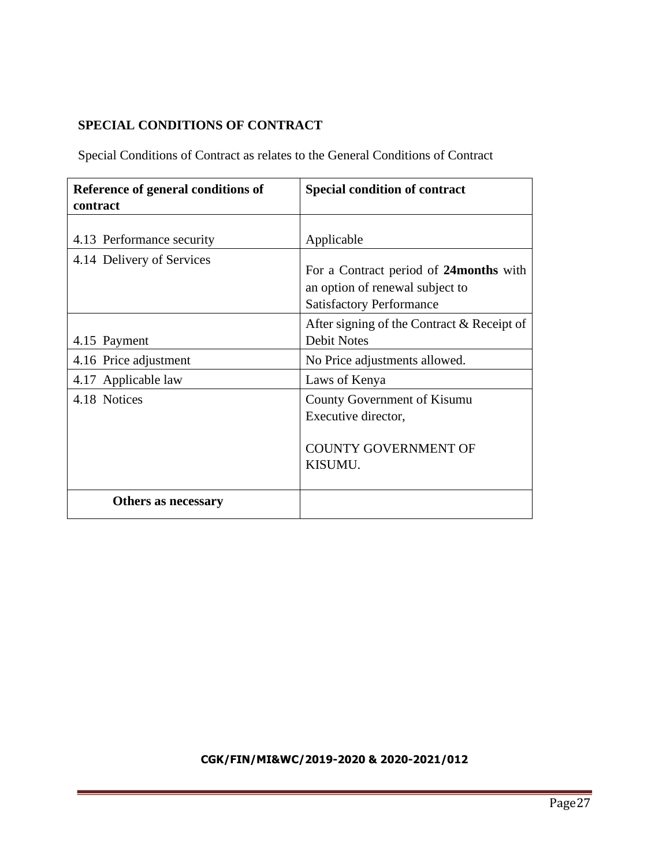# **SPECIAL CONDITIONS OF CONTRACT**

Special Conditions of Contract as relates to the General Conditions of Contract

| Reference of general conditions of<br>contract         | <b>Special condition of contract</b>                                                         |
|--------------------------------------------------------|----------------------------------------------------------------------------------------------|
| 4.13 Performance security<br>4.14 Delivery of Services | Applicable<br>For a Contract period of 24 months with                                        |
|                                                        | an option of renewal subject to<br><b>Satisfactory Performance</b>                           |
| 4.15 Payment                                           | After signing of the Contract & Receipt of<br><b>Debit Notes</b>                             |
| 4.16 Price adjustment                                  | No Price adjustments allowed.                                                                |
| 4.17 Applicable law                                    | Laws of Kenya                                                                                |
| 4.18 Notices                                           | County Government of Kisumu<br>Executive director,<br><b>COUNTY GOVERNMENT OF</b><br>KISUMU. |
| Others as necessary                                    |                                                                                              |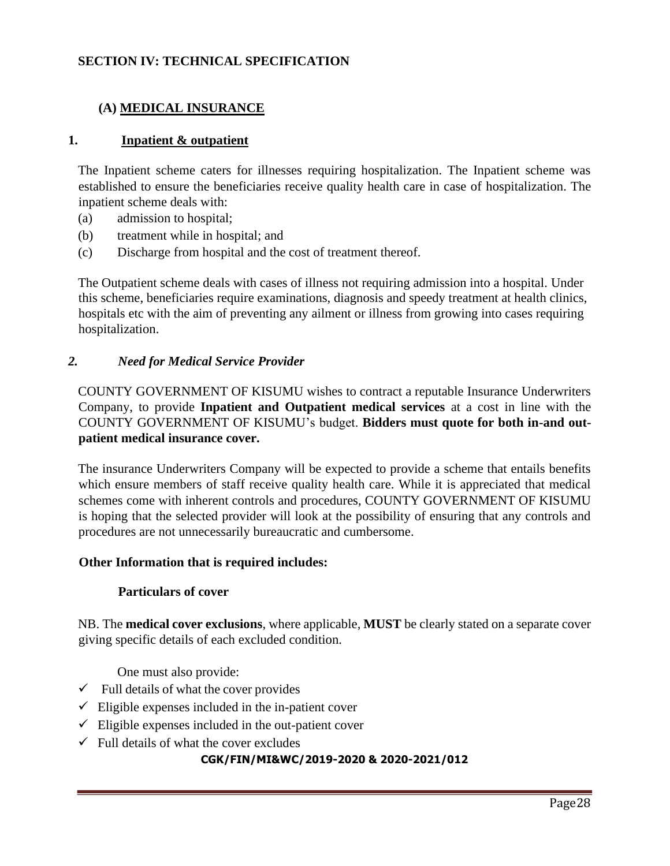# **SECTION IV: TECHNICAL SPECIFICATION**

# **(A) MEDICAL INSURANCE**

#### **1. Inpatient & outpatient**

The Inpatient scheme caters for illnesses requiring hospitalization. The Inpatient scheme was established to ensure the beneficiaries receive quality health care in case of hospitalization. The inpatient scheme deals with:

- (a) admission to hospital;
- (b) treatment while in hospital; and
- (c) Discharge from hospital and the cost of treatment thereof.

The Outpatient scheme deals with cases of illness not requiring admission into a hospital. Under this scheme, beneficiaries require examinations, diagnosis and speedy treatment at health clinics, hospitals etc with the aim of preventing any ailment or illness from growing into cases requiring hospitalization.

#### *2. Need for Medical Service Provider*

COUNTY GOVERNMENT OF KISUMU wishes to contract a reputable Insurance Underwriters Company, to provide **Inpatient and Outpatient medical services** at a cost in line with the COUNTY GOVERNMENT OF KISUMU's budget. **Bidders must quote for both in-and outpatient medical insurance cover.**

The insurance Underwriters Company will be expected to provide a scheme that entails benefits which ensure members of staff receive quality health care. While it is appreciated that medical schemes come with inherent controls and procedures, COUNTY GOVERNMENT OF KISUMU is hoping that the selected provider will look at the possibility of ensuring that any controls and procedures are not unnecessarily bureaucratic and cumbersome.

#### **Other Information that is required includes:**

#### **Particulars of cover**

NB. The **medical cover exclusions**, where applicable, **MUST** be clearly stated on a separate cover giving specific details of each excluded condition.

One must also provide:

- $\checkmark$  Full details of what the cover provides
- $\checkmark$  Eligible expenses included in the in-patient cover
- $\checkmark$  Eligible expenses included in the out-patient cover
- $\checkmark$  Full details of what the cover excludes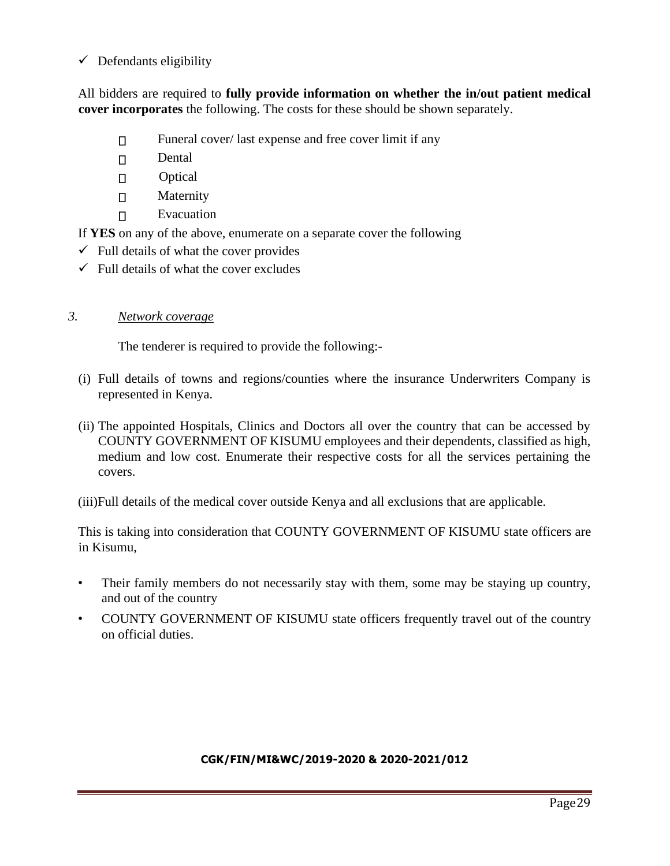$\checkmark$  Defendants eligibility

All bidders are required to **fully provide information on whether the in/out patient medical cover incorporates** the following. The costs for these should be shown separately.

- Funeral cover/ last expense and free cover limit if any  $\Box$
- $\Box$ Dental
- $\Box$ **Optical**
- $\Box$ Maternity
- Evacuation  $\Box$

If **YES** on any of the above, enumerate on a separate cover the following

- $\checkmark$  Full details of what the cover provides
- $\checkmark$  Full details of what the cover excludes

#### *3. Network coverage*

The tenderer is required to provide the following:-

- (i) Full details of towns and regions/counties where the insurance Underwriters Company is represented in Kenya.
- (ii) The appointed Hospitals, Clinics and Doctors all over the country that can be accessed by COUNTY GOVERNMENT OF KISUMU employees and their dependents, classified as high, medium and low cost. Enumerate their respective costs for all the services pertaining the covers.

(iii)Full details of the medical cover outside Kenya and all exclusions that are applicable.

This is taking into consideration that COUNTY GOVERNMENT OF KISUMU state officers are in Kisumu,

- Their family members do not necessarily stay with them, some may be staying up country, and out of the country
- COUNTY GOVERNMENT OF KISUMU state officers frequently travel out of the country on official duties.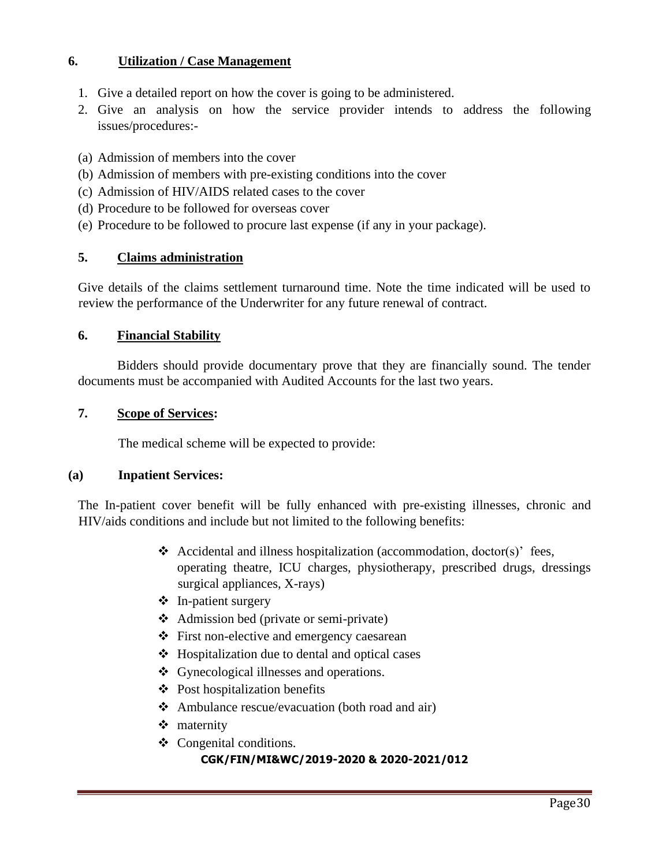# **6. Utilization / Case Management**

- 1. Give a detailed report on how the cover is going to be administered.
- 2. Give an analysis on how the service provider intends to address the following issues/procedures:-
- (a) Admission of members into the cover
- (b) Admission of members with pre-existing conditions into the cover
- (c) Admission of HIV/AIDS related cases to the cover
- (d) Procedure to be followed for overseas cover
- (e) Procedure to be followed to procure last expense (if any in your package).

#### **5. Claims administration**

Give details of the claims settlement turnaround time. Note the time indicated will be used to review the performance of the Underwriter for any future renewal of contract.

#### **6. Financial Stability**

Bidders should provide documentary prove that they are financially sound. The tender documents must be accompanied with Audited Accounts for the last two years.

#### **7. Scope of Services:**

The medical scheme will be expected to provide:

#### **(a) Inpatient Services:**

The In-patient cover benefit will be fully enhanced with pre-existing illnesses, chronic and HIV/aids conditions and include but not limited to the following benefits:

- ❖ Accidental and illness hospitalization (accommodation, doctor(s)' fees, operating theatre, ICU charges, physiotherapy, prescribed drugs, dressings surgical appliances, X-rays)
- ❖ In-patient surgery
- ❖ Admission bed (private or semi-private)
- ❖ First non-elective and emergency caesarean
- ❖ Hospitalization due to dental and optical cases
- ❖ Gynecological illnesses and operations.
- ❖ Post hospitalization benefits
- ❖ Ambulance rescue/evacuation (both road and air)
- ❖ maternity
- ❖ Congenital conditions.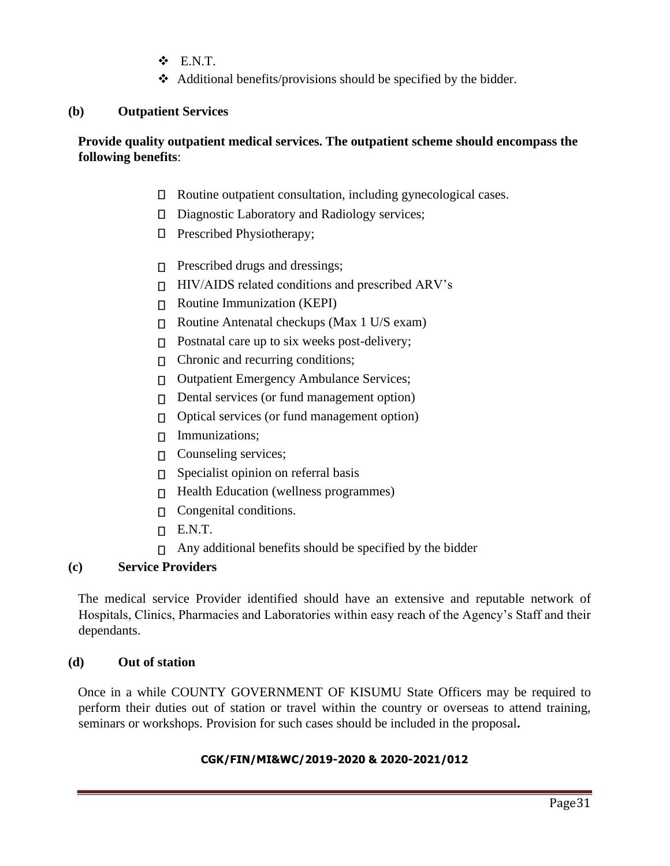- ❖ E.N.T.
- ❖ Additional benefits/provisions should be specified by the bidder.

#### **(b) Outpatient Services**

### **Provide quality outpatient medical services. The outpatient scheme should encompass the following benefits**:

- Routine outpatient consultation, including gynecological cases.
- $\Box$ Diagnostic Laboratory and Radiology services;
- **D** Prescribed Physiotherapy;
- $\Box$  Prescribed drugs and dressings;
- $\Pi$  HIV/AIDS related conditions and prescribed ARV's
- Routine Immunization (KEPI)
- $\Box$  Routine Antenatal checkups (Max 1 U/S exam)
- $\Box$  Postnatal care up to six weeks post-delivery;
- $\Box$  Chronic and recurring conditions;
- □ Outpatient Emergency Ambulance Services;
- Dental services (or fund management option)  $\Box$
- $\Box$  Optical services (or fund management option)
- $\Box$  Immunizations;
- **Counseling services;**
- $\Box$  Specialist opinion on referral basis
- □ Health Education (wellness programmes)
- **Congenital conditions.**
- $\Box$  E.N.T.
- $\Box$  Any additional benefits should be specified by the bidder

### **(c) Service Providers**

The medical service Provider identified should have an extensive and reputable network of Hospitals, Clinics, Pharmacies and Laboratories within easy reach of the Agency's Staff and their dependants.

#### **(d) Out of station**

Once in a while COUNTY GOVERNMENT OF KISUMU State Officers may be required to perform their duties out of station or travel within the country or overseas to attend training, seminars or workshops. Provision for such cases should be included in the proposal**.**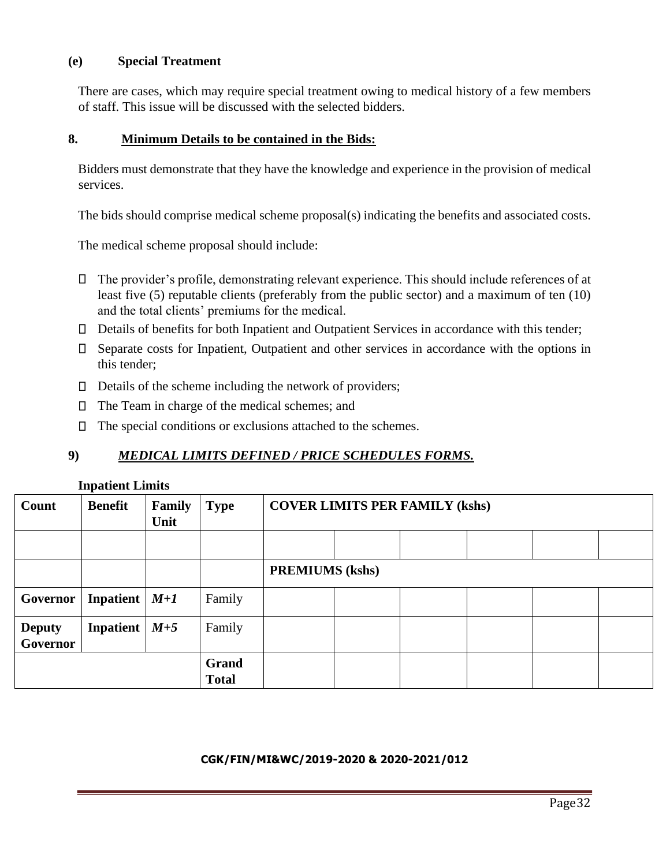#### **(e) Special Treatment**

There are cases, which may require special treatment owing to medical history of a few members of staff. This issue will be discussed with the selected bidders.

#### **8. Minimum Details to be contained in the Bids:**

Bidders must demonstrate that they have the knowledge and experience in the provision of medical services.

The bids should comprise medical scheme proposal(s) indicating the benefits and associated costs.

The medical scheme proposal should include:

- The provider's profile, demonstrating relevant experience. This should include references of at least five (5) reputable clients (preferably from the public sector) and a maximum of ten (10) and the total clients' premiums for the medical.
- Details of benefits for both Inpatient and Outpatient Services in accordance with this tender;
- Separate costs for Inpatient, Outpatient and other services in accordance with the options in this tender;
- $\Box$  Details of the scheme including the network of providers;
- The Team in charge of the medical schemes; and
- $\Box$  The special conditions or exclusions attached to the schemes.

# **9)** *MEDICAL LIMITS DEFINED / PRICE SCHEDULES FORMS.*

#### **Inpatient Limits**

| Count                     | <b>Benefit</b> | Family<br>Unit | <b>Type</b>           | <b>COVER LIMITS PER FAMILY (kshs)</b> |  |  |  |  |
|---------------------------|----------------|----------------|-----------------------|---------------------------------------|--|--|--|--|
|                           |                |                |                       |                                       |  |  |  |  |
|                           |                |                |                       | <b>PREMIUMS</b> (kshs)                |  |  |  |  |
| Governor                  | Inpatient      | $M+1$          | Family                |                                       |  |  |  |  |
| <b>Deputy</b><br>Governor | Inpatient      | $M+5$          | Family                |                                       |  |  |  |  |
|                           |                |                | Grand<br><b>Total</b> |                                       |  |  |  |  |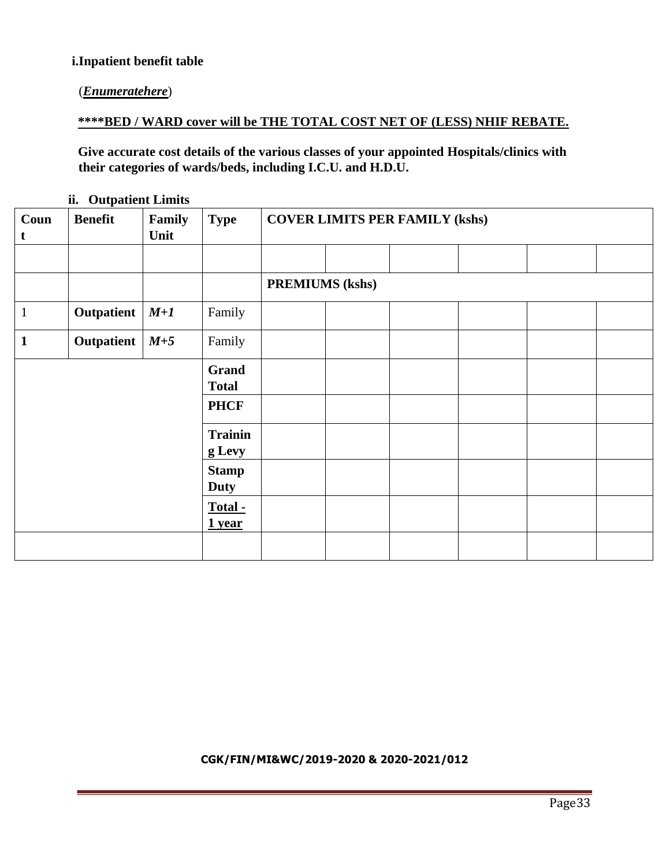### **i.Inpatient benefit table**

# (*Enumeratehere*)

# **\*\*\*\*BED / WARD cover will be THE TOTAL COST NET OF (LESS) NHIF REBATE.**

**Give accurate cost details of the various classes of your appointed Hospitals/clinics with their categories of wards/beds, including I.C.U. and H.D.U.**

|                     | m Carpanent Limits |                |                |                                       |  |  |  |  |  |  |
|---------------------|--------------------|----------------|----------------|---------------------------------------|--|--|--|--|--|--|
| Coun<br>$\mathbf t$ | <b>Benefit</b>     | Family<br>Unit | <b>Type</b>    | <b>COVER LIMITS PER FAMILY (kshs)</b> |  |  |  |  |  |  |
|                     |                    |                |                |                                       |  |  |  |  |  |  |
|                     |                    |                |                |                                       |  |  |  |  |  |  |
|                     |                    |                |                | <b>PREMIUMS (kshs)</b>                |  |  |  |  |  |  |
| $\mathbf{1}$        | Outpatient         | $M+1$          | Family         |                                       |  |  |  |  |  |  |
| $\mathbf{1}$        | Outpatient         | $M+5$          | Family         |                                       |  |  |  |  |  |  |
|                     |                    |                | <b>Grand</b>   |                                       |  |  |  |  |  |  |
|                     |                    |                | <b>Total</b>   |                                       |  |  |  |  |  |  |
|                     |                    |                | <b>PHCF</b>    |                                       |  |  |  |  |  |  |
|                     |                    |                | <b>Trainin</b> |                                       |  |  |  |  |  |  |
|                     |                    |                | g Levy         |                                       |  |  |  |  |  |  |
|                     |                    |                | <b>Stamp</b>   |                                       |  |  |  |  |  |  |
|                     |                    |                | <b>Duty</b>    |                                       |  |  |  |  |  |  |
|                     |                    |                | Total -        |                                       |  |  |  |  |  |  |
|                     |                    |                | $1$ year       |                                       |  |  |  |  |  |  |
|                     |                    |                |                |                                       |  |  |  |  |  |  |
|                     |                    |                |                |                                       |  |  |  |  |  |  |

**ii. Outpatient Limits**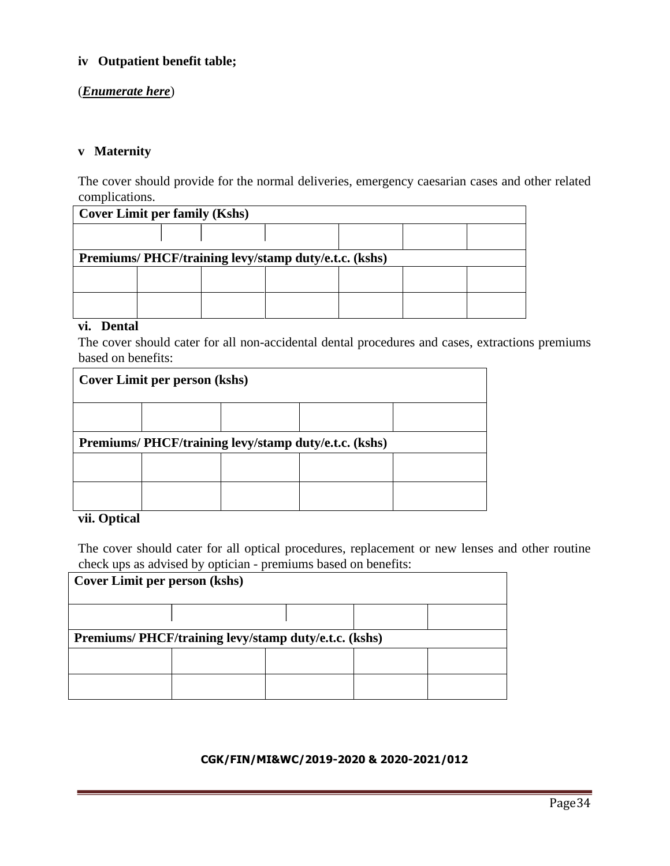# **iv Outpatient benefit table;**

#### (*Enumerate here*)

#### **v Maternity**

The cover should provide for the normal deliveries, emergency caesarian cases and other related complications.

| <b>Cover Limit per family (Kshs)</b> |                                                      |  |  |  |  |  |  |  |
|--------------------------------------|------------------------------------------------------|--|--|--|--|--|--|--|
|                                      |                                                      |  |  |  |  |  |  |  |
|                                      | Premiums/PHCF/training levy/stamp duty/e.t.c. (kshs) |  |  |  |  |  |  |  |
|                                      |                                                      |  |  |  |  |  |  |  |
|                                      |                                                      |  |  |  |  |  |  |  |

#### **vi. Dental**

The cover should cater for all non-accidental dental procedures and cases, extractions premiums based on benefits:

| Cover Limit per person (kshs)                        |  |  |  |  |  |  |  |  |  |
|------------------------------------------------------|--|--|--|--|--|--|--|--|--|
|                                                      |  |  |  |  |  |  |  |  |  |
| Premiums/PHCF/training levy/stamp duty/e.t.c. (kshs) |  |  |  |  |  |  |  |  |  |
|                                                      |  |  |  |  |  |  |  |  |  |
|                                                      |  |  |  |  |  |  |  |  |  |

# **vii. Optical**

The cover should cater for all optical procedures, replacement or new lenses and other routine check ups as advised by optician - premiums based on benefits:

| Cover Limit per person (kshs)                         |  |  |  |  |
|-------------------------------------------------------|--|--|--|--|
|                                                       |  |  |  |  |
| Premiums/ PHCF/training levy/stamp duty/e.t.c. (kshs) |  |  |  |  |
|                                                       |  |  |  |  |
|                                                       |  |  |  |  |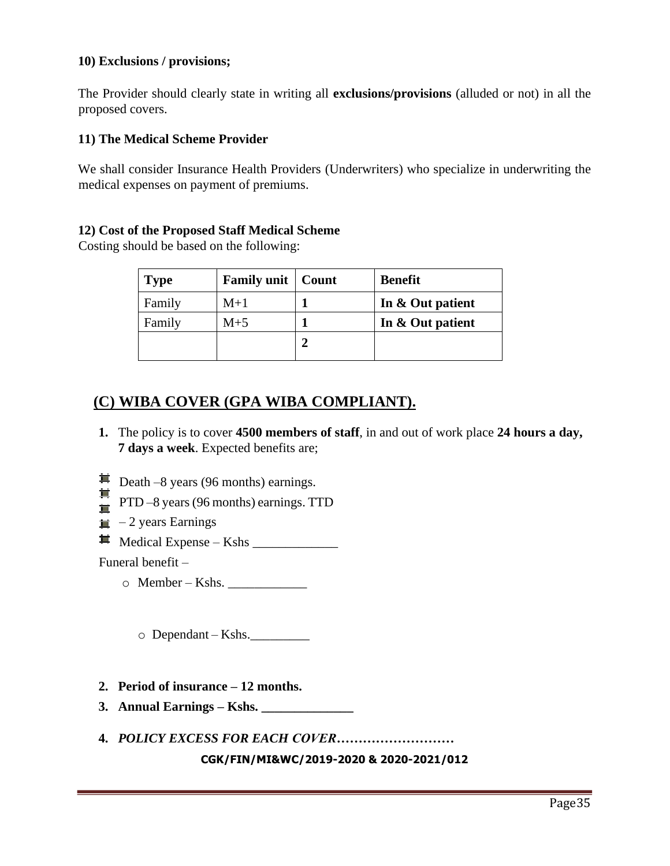#### **10) Exclusions / provisions;**

The Provider should clearly state in writing all **exclusions/provisions** (alluded or not) in all the proposed covers.

### **11) The Medical Scheme Provider**

We shall consider Insurance Health Providers (Underwriters) who specialize in underwriting the medical expenses on payment of premiums.

#### **12) Cost of the Proposed Staff Medical Scheme**

Costing should be based on the following:

| <b>Type</b> | <b>Family unit</b>   Count | <b>Benefit</b>   |
|-------------|----------------------------|------------------|
| Family      | $M+1$                      | In & Out patient |
| Family      | $M+5$                      | In & Out patient |
|             |                            |                  |
|             |                            |                  |

# **(C) WIBA COVER (GPA WIBA COMPLIANT).**

- **1.** The policy is to cover **4500 members of staff**, in and out of work place **24 hours a day, 7 days a week**. Expected benefits are;
- $\equiv$  Death –8 years (96 months) earnings.
- 茸  $\overrightarrow{=}$  PTD –8 years (96 months) earnings. TTD
- $\equiv$  -2 years Earnings
- $\blacksquare$  Medical Expense Kshs

Funeral benefit –

 $\circ$  Member – Kshs.

 $\circ$  Dependant – Kshs.

- **2. Period of insurance – 12 months.**
- **3. Annual Earnings – Kshs. \_\_\_\_\_\_\_\_\_\_\_\_\_\_**
- **4.** *POLICY EXCESS FOR EACH COVER………………………*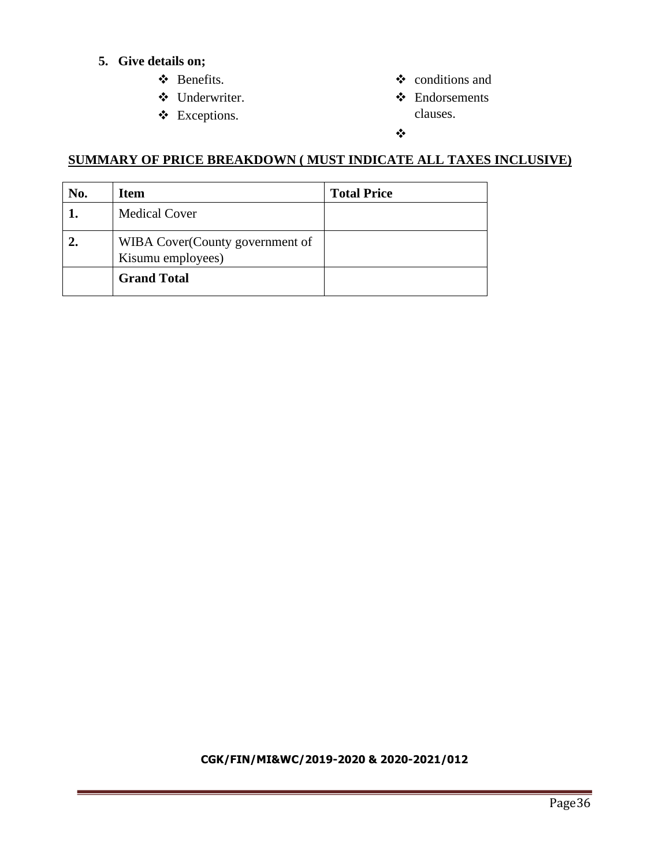# **5. Give details on;**

- ❖ Benefits.
- ❖ Underwriter.
- ❖ Exceptions.
- ❖ conditions and
- ❖ Endorsements clauses.

#### ❖

# **SUMMARY OF PRICE BREAKDOWN ( MUST INDICATE ALL TAXES INCLUSIVE)**

| No. | <b>Item</b>                                          | <b>Total Price</b> |
|-----|------------------------------------------------------|--------------------|
|     | <b>Medical Cover</b>                                 |                    |
|     | WIBA Cover(County government of<br>Kisumu employees) |                    |
|     | <b>Grand Total</b>                                   |                    |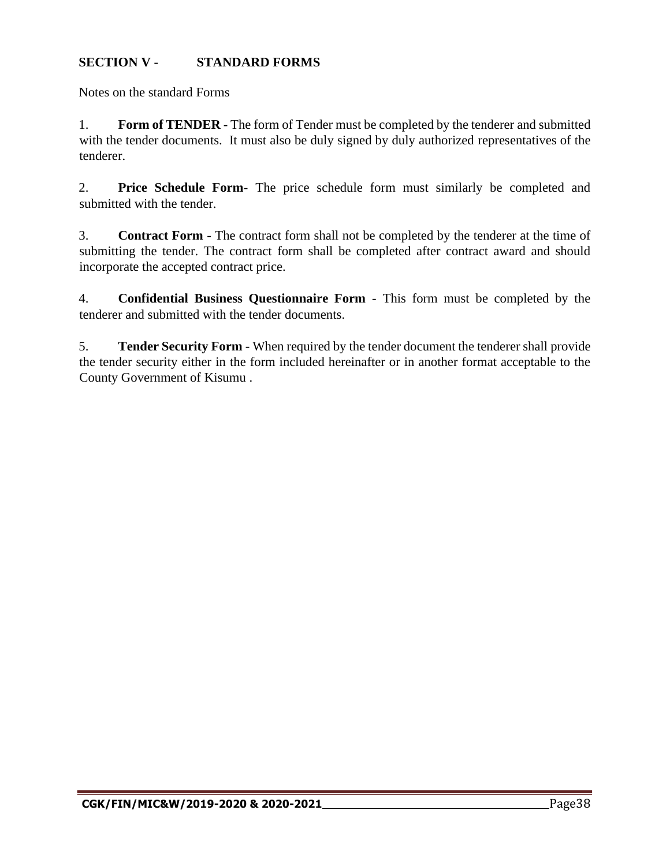# **SECTION V - STANDARD FORMS**

Notes on the standard Forms

1. **Form of TENDER** - The form of Tender must be completed by the tenderer and submitted with the tender documents. It must also be duly signed by duly authorized representatives of the tenderer.

2. **Price Schedule Form**- The price schedule form must similarly be completed and submitted with the tender.

3. **Contract Form** - The contract form shall not be completed by the tenderer at the time of submitting the tender. The contract form shall be completed after contract award and should incorporate the accepted contract price.

4. **Confidential Business Questionnaire Form** - This form must be completed by the tenderer and submitted with the tender documents.

5. **Tender Security Form** - When required by the tender document the tenderer shall provide the tender security either in the form included hereinafter or in another format acceptable to the County Government of Kisumu .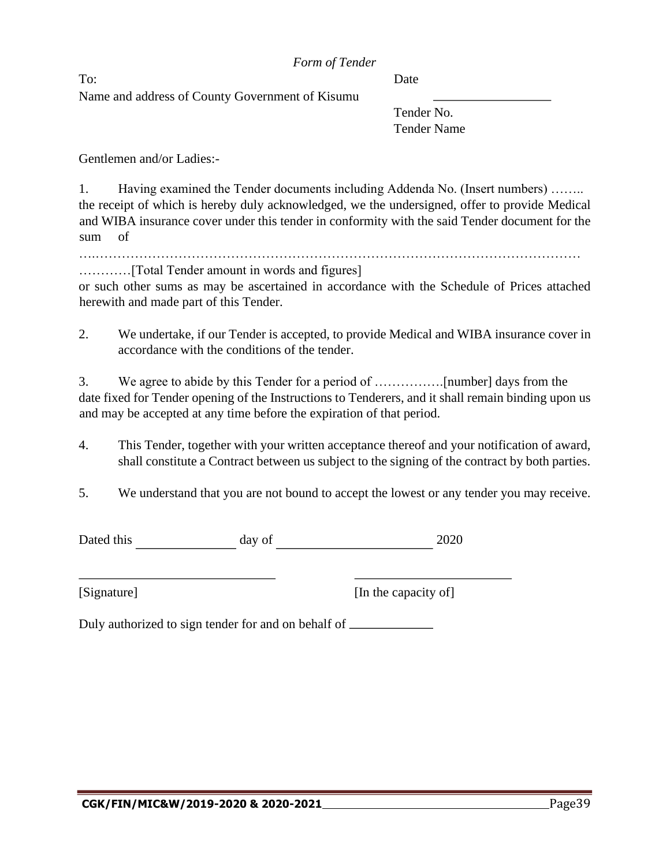To: Date Name and address of County Government of Kisumu

Tender No. Tender Name

Gentlemen and/or Ladies:-

1. Having examined the Tender documents including Addenda No. (Insert numbers) …….. the receipt of which is hereby duly acknowledged, we the undersigned, offer to provide Medical and WIBA insurance cover under this tender in conformity with the said Tender document for the sum of

….…………………………………………………………………………………………………

…………[Total Tender amount in words and figures]

or such other sums as may be ascertained in accordance with the Schedule of Prices attached herewith and made part of this Tender.

2. We undertake, if our Tender is accepted, to provide Medical and WIBA insurance cover in accordance with the conditions of the tender.

3. We agree to abide by this Tender for a period of …………….[number] days from the date fixed for Tender opening of the Instructions to Tenderers, and it shall remain binding upon us and may be accepted at any time before the expiration of that period.

4. This Tender, together with your written acceptance thereof and your notification of award, shall constitute a Contract between us subject to the signing of the contract by both parties.

5. We understand that you are not bound to accept the lowest or any tender you may receive.

Dated this day of 2020

[Signature] [In the capacity of]

Duly authorized to sign tender for and on behalf of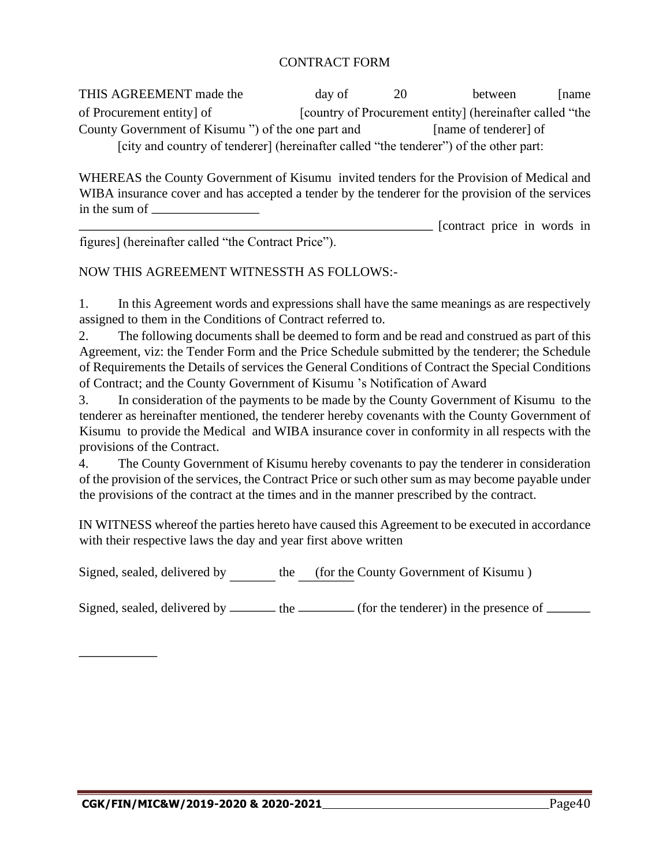# CONTRACT FORM

THIS AGREEMENT made the day of 20 between [name of Procurement entity] of [country of Procurement entity] (hereinafter called "the County Government of Kisumu ") of the one part and [name of tenderer] of [city and country of tenderer] (hereinafter called "the tenderer") of the other part:

WHEREAS the County Government of Kisumu invited tenders for the Provision of Medical and WIBA insurance cover and has accepted a tender by the tenderer for the provision of the services in the sum of

**EXECUTE:** [contract price in words in figures] (hereinafter called "the Contract Price").

# NOW THIS AGREEMENT WITNESSTH AS FOLLOWS:-

1. In this Agreement words and expressions shall have the same meanings as are respectively assigned to them in the Conditions of Contract referred to.

2. The following documents shall be deemed to form and be read and construed as part of this Agreement, viz: the Tender Form and the Price Schedule submitted by the tenderer; the Schedule of Requirements the Details of services the General Conditions of Contract the Special Conditions of Contract; and the County Government of Kisumu 's Notification of Award

3. In consideration of the payments to be made by the County Government of Kisumu to the tenderer as hereinafter mentioned, the tenderer hereby covenants with the County Government of Kisumu to provide the Medical and WIBA insurance cover in conformity in all respects with the provisions of the Contract.

4. The County Government of Kisumu hereby covenants to pay the tenderer in consideration of the provision of the services, the Contract Price or such other sum as may become payable under the provisions of the contract at the times and in the manner prescribed by the contract.

IN WITNESS whereof the parties hereto have caused this Agreement to be executed in accordance with their respective laws the day and year first above written

Signed, sealed, delivered by the (for the County Government of Kisumu )

Signed, sealed, delivered by  $\frac{1}{\sqrt{1-\frac{1}{\sqrt{1-\frac{1}{\sqrt{1-\frac{1}{\sqrt{1-\frac{1}{\sqrt{1-\frac{1}{\sqrt{1-\frac{1}{\sqrt{1-\frac{1}{\sqrt{1-\frac{1}{\sqrt{1-\frac{1}{\sqrt{1-\frac{1}{\sqrt{1-\frac{1}{\sqrt{1-\frac{1}{\sqrt{1-\frac{1}{\sqrt{1-\frac{1}{\sqrt{1-\frac{1}{\sqrt{1-\frac{1}{\sqrt{1-\frac{1}{\sqrt{1-\frac{1}{\sqrt{1-\frac{1}{\sqrt{1-\frac{1}{\sqrt{1-\frac$